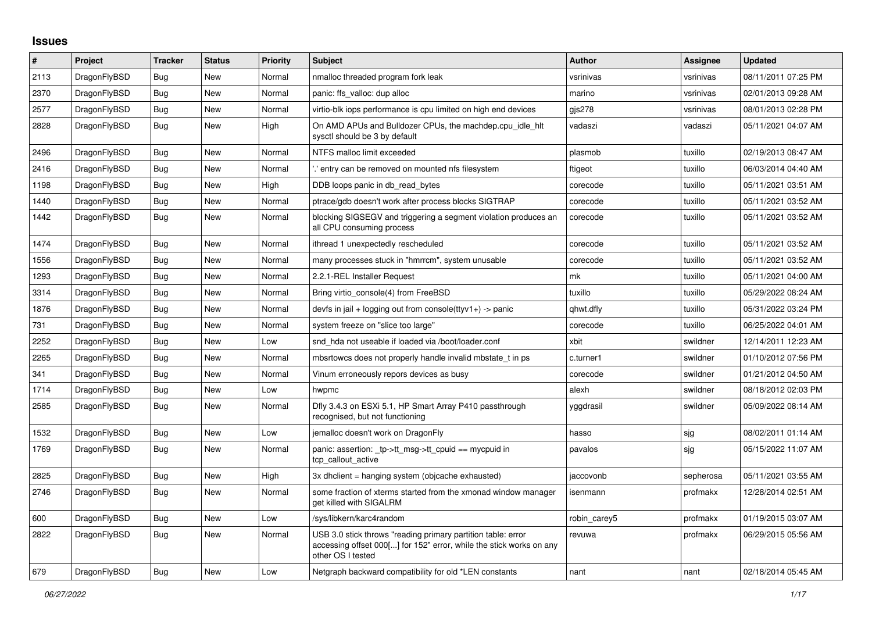## **Issues**

| #    | Project      | <b>Tracker</b> | <b>Status</b> | Priority | <b>Subject</b>                                                                                                                                           | <b>Author</b> | Assignee  | <b>Updated</b>      |
|------|--------------|----------------|---------------|----------|----------------------------------------------------------------------------------------------------------------------------------------------------------|---------------|-----------|---------------------|
| 2113 | DragonFlyBSD | Bug            | New           | Normal   | nmalloc threaded program fork leak                                                                                                                       | vsrinivas     | vsrinivas | 08/11/2011 07:25 PM |
| 2370 | DragonFlyBSD | <b>Bug</b>     | <b>New</b>    | Normal   | panic: ffs valloc: dup alloc                                                                                                                             | marino        | vsrinivas | 02/01/2013 09:28 AM |
| 2577 | DragonFlyBSD | Bug            | New           | Normal   | virtio-blk iops performance is cpu limited on high end devices                                                                                           | gjs278        | vsrinivas | 08/01/2013 02:28 PM |
| 2828 | DragonFlyBSD | <b>Bug</b>     | New           | High     | On AMD APUs and Bulldozer CPUs, the machdep.cpu_idle_hlt<br>sysctl should be 3 by default                                                                | vadaszi       | vadaszi   | 05/11/2021 04:07 AM |
| 2496 | DragonFlyBSD | <b>Bug</b>     | New           | Normal   | NTFS malloc limit exceeded                                                                                                                               | plasmob       | tuxillo   | 02/19/2013 08:47 AM |
| 2416 | DragonFlyBSD | <b>Bug</b>     | <b>New</b>    | Normal   | entry can be removed on mounted nfs filesystem.                                                                                                          | ftigeot       | tuxillo   | 06/03/2014 04:40 AM |
| 1198 | DragonFlyBSD | <b>Bug</b>     | New           | High     | DDB loops panic in db read bytes                                                                                                                         | corecode      | tuxillo   | 05/11/2021 03:51 AM |
| 1440 | DragonFlyBSD | Bug            | New           | Normal   | ptrace/gdb doesn't work after process blocks SIGTRAP                                                                                                     | corecode      | tuxillo   | 05/11/2021 03:52 AM |
| 1442 | DragonFlyBSD | <b>Bug</b>     | New           | Normal   | blocking SIGSEGV and triggering a segment violation produces an<br>all CPU consuming process                                                             | corecode      | tuxillo   | 05/11/2021 03:52 AM |
| 1474 | DragonFlyBSD | Bug            | New           | Normal   | ithread 1 unexpectedly rescheduled                                                                                                                       | corecode      | tuxillo   | 05/11/2021 03:52 AM |
| 1556 | DragonFlyBSD | <b>Bug</b>     | <b>New</b>    | Normal   | many processes stuck in "hmrrcm", system unusable                                                                                                        | corecode      | tuxillo   | 05/11/2021 03:52 AM |
| 1293 | DragonFlyBSD | <b>Bug</b>     | New           | Normal   | 2.2.1-REL Installer Request                                                                                                                              | mk            | tuxillo   | 05/11/2021 04:00 AM |
| 3314 | DragonFlyBSD | Bug            | New           | Normal   | Bring virtio console(4) from FreeBSD                                                                                                                     | tuxillo       | tuxillo   | 05/29/2022 08:24 AM |
| 1876 | DragonFlyBSD | <b>Bug</b>     | New           | Normal   | devfs in jail + logging out from console(ttyv1+) -> panic                                                                                                | qhwt.dfly     | tuxillo   | 05/31/2022 03:24 PM |
| 731  | DragonFlyBSD | Bug            | New           | Normal   | system freeze on "slice too large"                                                                                                                       | corecode      | tuxillo   | 06/25/2022 04:01 AM |
| 2252 | DragonFlyBSD | <b>Bug</b>     | New           | Low      | snd hda not useable if loaded via /boot/loader.conf                                                                                                      | xbit          | swildner  | 12/14/2011 12:23 AM |
| 2265 | DragonFlyBSD | Bug            | New           | Normal   | mbsrtowcs does not properly handle invalid mbstate t in ps                                                                                               | c.turner1     | swildner  | 01/10/2012 07:56 PM |
| 341  | DragonFlyBSD | Bug            | New           | Normal   | Vinum erroneously repors devices as busy                                                                                                                 | corecode      | swildner  | 01/21/2012 04:50 AM |
| 1714 | DragonFlyBSD | Bug            | New           | Low      | hwpmc                                                                                                                                                    | alexh         | swildner  | 08/18/2012 02:03 PM |
| 2585 | DragonFlyBSD | <b>Bug</b>     | New           | Normal   | Dfly 3.4.3 on ESXi 5.1, HP Smart Array P410 passthrough<br>recognised, but not functioning                                                               | yggdrasil     | swildner  | 05/09/2022 08:14 AM |
| 1532 | DragonFlyBSD | <b>Bug</b>     | New           | Low      | jemalloc doesn't work on DragonFly                                                                                                                       | hasso         | sjg       | 08/02/2011 01:14 AM |
| 1769 | DragonFlyBSD | <b>Bug</b>     | New           | Normal   | panic: assertion: tp->tt msg->tt cpuid == mycpuid in<br>tcp_callout_active                                                                               | pavalos       | sjg       | 05/15/2022 11:07 AM |
| 2825 | DragonFlyBSD | <b>Bug</b>     | New           | High     | 3x dhclient = hanging system (objcache exhausted)                                                                                                        | jaccovonb     | sepherosa | 05/11/2021 03:55 AM |
| 2746 | DragonFlyBSD | Bug            | New           | Normal   | some fraction of xterms started from the xmonad window manager<br>get killed with SIGALRM                                                                | isenmann      | profmakx  | 12/28/2014 02:51 AM |
| 600  | DragonFlyBSD | <b>Bug</b>     | New           | Low      | /sys/libkern/karc4random                                                                                                                                 | robin carey5  | profmakx  | 01/19/2015 03:07 AM |
| 2822 | DragonFlyBSD | Bug            | New           | Normal   | USB 3.0 stick throws "reading primary partition table: error<br>accessing offset 000[] for 152" error, while the stick works on any<br>other OS I tested | revuwa        | profmakx  | 06/29/2015 05:56 AM |
| 679  | DragonFlyBSD | Bug            | New           | Low      | Netgraph backward compatibility for old *LEN constants                                                                                                   | nant          | nant      | 02/18/2014 05:45 AM |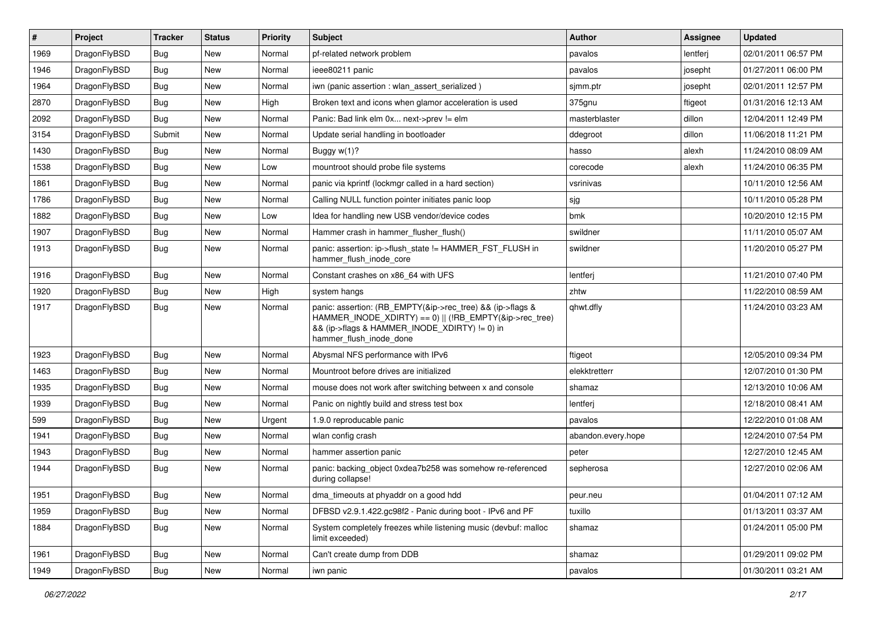| $\vert$ # | Project      | <b>Tracker</b> | <b>Status</b> | <b>Priority</b> | <b>Subject</b>                                                                                                                                                                                    | Author             | <b>Assignee</b> | <b>Updated</b>      |
|-----------|--------------|----------------|---------------|-----------------|---------------------------------------------------------------------------------------------------------------------------------------------------------------------------------------------------|--------------------|-----------------|---------------------|
| 1969      | DragonFlyBSD | Bug            | New           | Normal          | pf-related network problem                                                                                                                                                                        | pavalos            | lentferj        | 02/01/2011 06:57 PM |
| 1946      | DragonFlyBSD | Bug            | <b>New</b>    | Normal          | ieee80211 panic                                                                                                                                                                                   | pavalos            | josepht         | 01/27/2011 06:00 PM |
| 1964      | DragonFlyBSD | <b>Bug</b>     | <b>New</b>    | Normal          | iwn (panic assertion : wlan assert serialized)                                                                                                                                                    | sjmm.ptr           | josepht         | 02/01/2011 12:57 PM |
| 2870      | DragonFlyBSD | Bug            | New           | High            | Broken text and icons when glamor acceleration is used                                                                                                                                            | 375gnu             | ftigeot         | 01/31/2016 12:13 AM |
| 2092      | DragonFlyBSD | Bug            | <b>New</b>    | Normal          | Panic: Bad link elm 0x next->prev != elm                                                                                                                                                          | masterblaster      | dillon          | 12/04/2011 12:49 PM |
| 3154      | DragonFlyBSD | Submit         | New           | Normal          | Update serial handling in bootloader                                                                                                                                                              | ddegroot           | dillon          | 11/06/2018 11:21 PM |
| 1430      | DragonFlyBSD | Bug            | New           | Normal          | Buggy w(1)?                                                                                                                                                                                       | hasso              | alexh           | 11/24/2010 08:09 AM |
| 1538      | DragonFlyBSD | Bug            | <b>New</b>    | Low             | mountroot should probe file systems                                                                                                                                                               | corecode           | alexh           | 11/24/2010 06:35 PM |
| 1861      | DragonFlyBSD | Bug            | New           | Normal          | panic via kprintf (lockmgr called in a hard section)                                                                                                                                              | vsrinivas          |                 | 10/11/2010 12:56 AM |
| 1786      | DragonFlyBSD | Bug            | <b>New</b>    | Normal          | Calling NULL function pointer initiates panic loop                                                                                                                                                | sjg                |                 | 10/11/2010 05:28 PM |
| 1882      | DragonFlyBSD | Bug            | New           | Low             | Idea for handling new USB vendor/device codes                                                                                                                                                     | bmk                |                 | 10/20/2010 12:15 PM |
| 1907      | DragonFlyBSD | Bug            | <b>New</b>    | Normal          | Hammer crash in hammer flusher flush()                                                                                                                                                            | swildner           |                 | 11/11/2010 05:07 AM |
| 1913      | DragonFlyBSD | Bug            | New           | Normal          | panic: assertion: ip->flush_state != HAMMER_FST_FLUSH in<br>hammer_flush_inode_core                                                                                                               | swildner           |                 | 11/20/2010 05:27 PM |
| 1916      | DragonFlyBSD | Bug            | <b>New</b>    | Normal          | Constant crashes on x86_64 with UFS                                                                                                                                                               | lentferj           |                 | 11/21/2010 07:40 PM |
| 1920      | DragonFlyBSD | Bug            | New           | High            | system hangs                                                                                                                                                                                      | zhtw               |                 | 11/22/2010 08:59 AM |
| 1917      | DragonFlyBSD | Bug            | New           | Normal          | panic: assertion: (RB_EMPTY(&ip->rec_tree) && (ip->flags &<br>HAMMER_INODE_XDIRTY) == 0)    (!RB_EMPTY(&ip->rec_tree)<br>&& (ip->flags & HAMMER_INODE_XDIRTY) != 0) in<br>hammer_flush_inode_done | qhwt.dfly          |                 | 11/24/2010 03:23 AM |
| 1923      | DragonFlyBSD | Bug            | <b>New</b>    | Normal          | Abysmal NFS performance with IPv6                                                                                                                                                                 | ftigeot            |                 | 12/05/2010 09:34 PM |
| 1463      | DragonFlyBSD | Bug            | New           | Normal          | Mountroot before drives are initialized                                                                                                                                                           | elekktretterr      |                 | 12/07/2010 01:30 PM |
| 1935      | DragonFlyBSD | <b>Bug</b>     | New           | Normal          | mouse does not work after switching between x and console                                                                                                                                         | shamaz             |                 | 12/13/2010 10:06 AM |
| 1939      | DragonFlyBSD | <b>Bug</b>     | New           | Normal          | Panic on nightly build and stress test box                                                                                                                                                        | lentferj           |                 | 12/18/2010 08:41 AM |
| 599       | DragonFlyBSD | <b>Bug</b>     | <b>New</b>    | Urgent          | 1.9.0 reproducable panic                                                                                                                                                                          | pavalos            |                 | 12/22/2010 01:08 AM |
| 1941      | DragonFlyBSD | Bug            | <b>New</b>    | Normal          | wlan config crash                                                                                                                                                                                 | abandon.every.hope |                 | 12/24/2010 07:54 PM |
| 1943      | DragonFlyBSD | <b>Bug</b>     | New           | Normal          | hammer assertion panic                                                                                                                                                                            | peter              |                 | 12/27/2010 12:45 AM |
| 1944      | DragonFlyBSD | Bug            | <b>New</b>    | Normal          | panic: backing_object 0xdea7b258 was somehow re-referenced<br>during collapse!                                                                                                                    | sepherosa          |                 | 12/27/2010 02:06 AM |
| 1951      | DragonFlyBSD | <b>Bug</b>     | <b>New</b>    | Normal          | dma_timeouts at phyaddr on a good hdd                                                                                                                                                             | peur.neu           |                 | 01/04/2011 07:12 AM |
| 1959      | DragonFlyBSD | <b>Bug</b>     | <b>New</b>    | Normal          | DFBSD v2.9.1.422.gc98f2 - Panic during boot - IPv6 and PF                                                                                                                                         | tuxillo            |                 | 01/13/2011 03:37 AM |
| 1884      | DragonFlyBSD | <b>Bug</b>     | New           | Normal          | System completely freezes while listening music (devbuf: malloc<br>limit exceeded)                                                                                                                | shamaz             |                 | 01/24/2011 05:00 PM |
| 1961      | DragonFlyBSD | <b>Bug</b>     | New           | Normal          | Can't create dump from DDB                                                                                                                                                                        | shamaz             |                 | 01/29/2011 09:02 PM |
| 1949      | DragonFlyBSD | <b>Bug</b>     | New           | Normal          | iwn panic                                                                                                                                                                                         | pavalos            |                 | 01/30/2011 03:21 AM |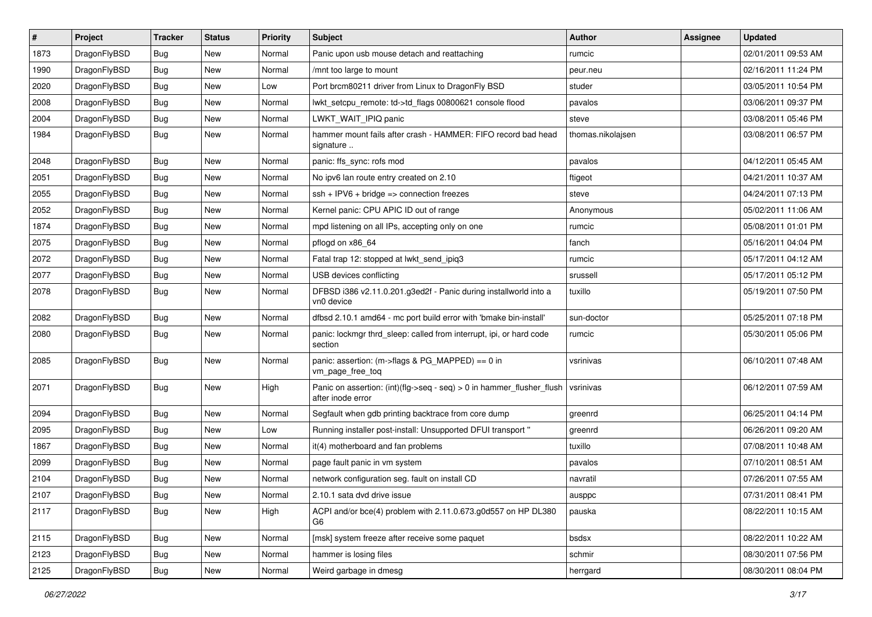| $\sharp$ | Project      | <b>Tracker</b> | <b>Status</b> | <b>Priority</b> | <b>Subject</b>                                                                                | Author            | <b>Assignee</b> | <b>Updated</b>      |
|----------|--------------|----------------|---------------|-----------------|-----------------------------------------------------------------------------------------------|-------------------|-----------------|---------------------|
| 1873     | DragonFlyBSD | <b>Bug</b>     | <b>New</b>    | Normal          | Panic upon usb mouse detach and reattaching                                                   | rumcic            |                 | 02/01/2011 09:53 AM |
| 1990     | DragonFlyBSD | Bug            | <b>New</b>    | Normal          | /mnt too large to mount                                                                       | peur.neu          |                 | 02/16/2011 11:24 PM |
| 2020     | DragonFlyBSD | <b>Bug</b>     | New           | Low             | Port brcm80211 driver from Linux to DragonFly BSD                                             | studer            |                 | 03/05/2011 10:54 PM |
| 2008     | DragonFlyBSD | <b>Bug</b>     | New           | Normal          | lwkt_setcpu_remote: td->td_flags 00800621 console flood                                       | pavalos           |                 | 03/06/2011 09:37 PM |
| 2004     | DragonFlyBSD | <b>Bug</b>     | New           | Normal          | LWKT_WAIT_IPIQ panic                                                                          | steve             |                 | 03/08/2011 05:46 PM |
| 1984     | DragonFlyBSD | <b>Bug</b>     | <b>New</b>    | Normal          | hammer mount fails after crash - HAMMER: FIFO record bad head<br>signature                    | thomas.nikolajsen |                 | 03/08/2011 06:57 PM |
| 2048     | DragonFlyBSD | <b>Bug</b>     | <b>New</b>    | Normal          | panic: ffs_sync: rofs mod                                                                     | pavalos           |                 | 04/12/2011 05:45 AM |
| 2051     | DragonFlyBSD | <b>Bug</b>     | New           | Normal          | No ipv6 lan route entry created on 2.10                                                       | ftigeot           |                 | 04/21/2011 10:37 AM |
| 2055     | DragonFlyBSD | Bug            | <b>New</b>    | Normal          | $ssh + IPV6 + bridge \Rightarrow connection freezes$                                          | steve             |                 | 04/24/2011 07:13 PM |
| 2052     | DragonFlyBSD | <b>Bug</b>     | New           | Normal          | Kernel panic: CPU APIC ID out of range                                                        | Anonymous         |                 | 05/02/2011 11:06 AM |
| 1874     | DragonFlyBSD | <b>Bug</b>     | New           | Normal          | mpd listening on all IPs, accepting only on one                                               | rumcic            |                 | 05/08/2011 01:01 PM |
| 2075     | DragonFlyBSD | <b>Bug</b>     | <b>New</b>    | Normal          | pflogd on x86 64                                                                              | fanch             |                 | 05/16/2011 04:04 PM |
| 2072     | DragonFlyBSD | <b>Bug</b>     | New           | Normal          | Fatal trap 12: stopped at lwkt_send_ipiq3                                                     | rumcic            |                 | 05/17/2011 04:12 AM |
| 2077     | DragonFlyBSD | Bug            | New           | Normal          | USB devices conflicting                                                                       | srussell          |                 | 05/17/2011 05:12 PM |
| 2078     | DragonFlyBSD | <b>Bug</b>     | New           | Normal          | DFBSD i386 v2.11.0.201.g3ed2f - Panic during installworld into a<br>vn0 device                | tuxillo           |                 | 05/19/2011 07:50 PM |
| 2082     | DragonFlyBSD | Bug            | <b>New</b>    | Normal          | dfbsd 2.10.1 amd64 - mc port build error with 'bmake bin-install'                             | sun-doctor        |                 | 05/25/2011 07:18 PM |
| 2080     | DragonFlyBSD | <b>Bug</b>     | <b>New</b>    | Normal          | panic: lockmgr thrd sleep: called from interrupt, ipi, or hard code<br>section                | rumcic            |                 | 05/30/2011 05:06 PM |
| 2085     | DragonFlyBSD | Bug            | <b>New</b>    | Normal          | panic: assertion: (m->flags & PG_MAPPED) == 0 in<br>vm_page_free_toq                          | vsrinivas         |                 | 06/10/2011 07:48 AM |
| 2071     | DragonFlyBSD | Bug            | New           | High            | Panic on assertion: $(int)(flag->seq - seq) > 0$ in hammer flusher flush<br>after inode error | vsrinivas         |                 | 06/12/2011 07:59 AM |
| 2094     | DragonFlyBSD | Bug            | New           | Normal          | Segfault when gdb printing backtrace from core dump                                           | greenrd           |                 | 06/25/2011 04:14 PM |
| 2095     | DragonFlyBSD | Bug            | <b>New</b>    | Low             | Running installer post-install: Unsupported DFUI transport "                                  | greenrd           |                 | 06/26/2011 09:20 AM |
| 1867     | DragonFlyBSD | <b>Bug</b>     | New           | Normal          | it(4) motherboard and fan problems                                                            | tuxillo           |                 | 07/08/2011 10:48 AM |
| 2099     | DragonFlyBSD | <b>Bug</b>     | <b>New</b>    | Normal          | page fault panic in vm system                                                                 | pavalos           |                 | 07/10/2011 08:51 AM |
| 2104     | DragonFlyBSD | <b>Bug</b>     | New           | Normal          | network configuration seg. fault on install CD                                                | navratil          |                 | 07/26/2011 07:55 AM |
| 2107     | DragonFlyBSD | <b>Bug</b>     | New           | Normal          | 2.10.1 sata dvd drive issue                                                                   | ausppc            |                 | 07/31/2011 08:41 PM |
| 2117     | DragonFlyBSD | <b>Bug</b>     | New           | High            | ACPI and/or bce(4) problem with 2.11.0.673.g0d557 on HP DL380<br>G6                           | pauska            |                 | 08/22/2011 10:15 AM |
| 2115     | DragonFlyBSD | <b>Bug</b>     | New           | Normal          | [msk] system freeze after receive some paquet                                                 | bsdsx             |                 | 08/22/2011 10:22 AM |
| 2123     | DragonFlyBSD | <b>Bug</b>     | <b>New</b>    | Normal          | hammer is losing files                                                                        | schmir            |                 | 08/30/2011 07:56 PM |
| 2125     | DragonFlyBSD | <b>Bug</b>     | New           | Normal          | Weird garbage in dmesg                                                                        | herrgard          |                 | 08/30/2011 08:04 PM |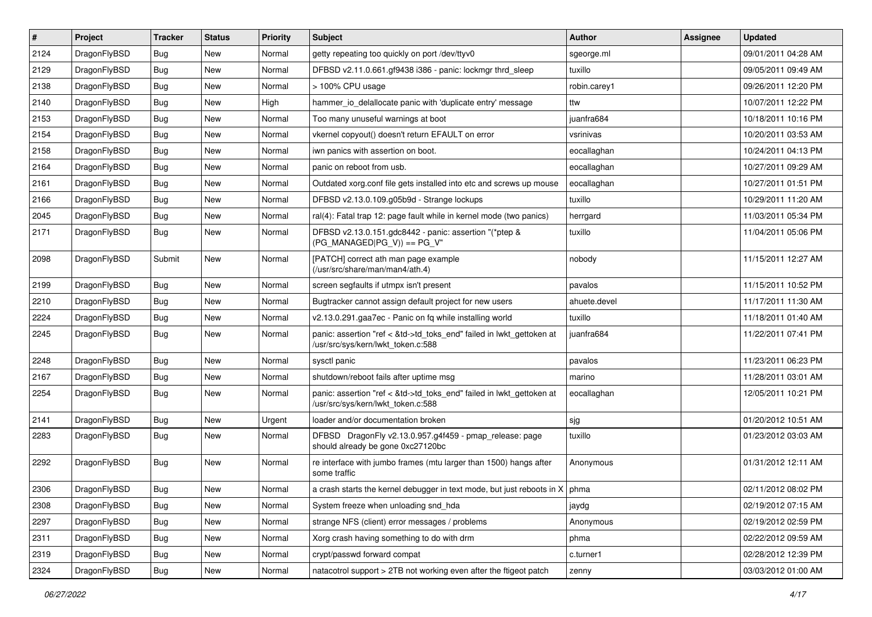| $\vert$ # | Project      | <b>Tracker</b> | <b>Status</b> | <b>Priority</b> | Subject                                                                                                    | Author       | Assignee | <b>Updated</b>      |
|-----------|--------------|----------------|---------------|-----------------|------------------------------------------------------------------------------------------------------------|--------------|----------|---------------------|
| 2124      | DragonFlyBSD | Bug            | New           | Normal          | getty repeating too quickly on port /dev/ttyv0                                                             | sgeorge.ml   |          | 09/01/2011 04:28 AM |
| 2129      | DragonFlyBSD | Bug            | <b>New</b>    | Normal          | DFBSD v2.11.0.661.gf9438 i386 - panic: lockmgr thrd_sleep                                                  | tuxillo      |          | 09/05/2011 09:49 AM |
| 2138      | DragonFlyBSD | <b>Bug</b>     | New           | Normal          | > 100% CPU usage                                                                                           | robin.carey1 |          | 09/26/2011 12:20 PM |
| 2140      | DragonFlyBSD | <b>Bug</b>     | New           | High            | hammer_io_delallocate panic with 'duplicate entry' message                                                 | ttw          |          | 10/07/2011 12:22 PM |
| 2153      | DragonFlyBSD | <b>Bug</b>     | <b>New</b>    | Normal          | Too many unuseful warnings at boot                                                                         | juanfra684   |          | 10/18/2011 10:16 PM |
| 2154      | DragonFlyBSD | <b>Bug</b>     | New           | Normal          | vkernel copyout() doesn't return EFAULT on error                                                           | vsrinivas    |          | 10/20/2011 03:53 AM |
| 2158      | DragonFlyBSD | Bug            | New           | Normal          | iwn panics with assertion on boot.                                                                         | eocallaghan  |          | 10/24/2011 04:13 PM |
| 2164      | DragonFlyBSD | Bug            | New           | Normal          | panic on reboot from usb.                                                                                  | eocallaghan  |          | 10/27/2011 09:29 AM |
| 2161      | DragonFlyBSD | Bug            | <b>New</b>    | Normal          | Outdated xorg.conf file gets installed into etc and screws up mouse                                        | eocallaghan  |          | 10/27/2011 01:51 PM |
| 2166      | DragonFlyBSD | Bug            | <b>New</b>    | Normal          | DFBSD v2.13.0.109.g05b9d - Strange lockups                                                                 | tuxillo      |          | 10/29/2011 11:20 AM |
| 2045      | DragonFlyBSD | Bug            | New           | Normal          | ral(4): Fatal trap 12: page fault while in kernel mode (two panics)                                        | herrgard     |          | 11/03/2011 05:34 PM |
| 2171      | DragonFlyBSD | Bug            | New           | Normal          | DFBSD v2.13.0.151.gdc8442 - panic: assertion "(*ptep &<br>$(PG_MANAGED PG_V)) == PG_V"$                    | tuxillo      |          | 11/04/2011 05:06 PM |
| 2098      | DragonFlyBSD | Submit         | <b>New</b>    | Normal          | [PATCH] correct ath man page example<br>(/usr/src/share/man/man4/ath.4)                                    | nobody       |          | 11/15/2011 12:27 AM |
| 2199      | DragonFlyBSD | <b>Bug</b>     | <b>New</b>    | Normal          | screen segfaults if utmpx isn't present                                                                    | pavalos      |          | 11/15/2011 10:52 PM |
| 2210      | DragonFlyBSD | Bug            | <b>New</b>    | Normal          | Bugtracker cannot assign default project for new users                                                     | ahuete.devel |          | 11/17/2011 11:30 AM |
| 2224      | DragonFlyBSD | Bug            | New           | Normal          | v2.13.0.291.gaa7ec - Panic on fq while installing world                                                    | tuxillo      |          | 11/18/2011 01:40 AM |
| 2245      | DragonFlyBSD | Bug            | New           | Normal          | panic: assertion "ref < &td->td_toks_end" failed in lwkt_gettoken at<br>/usr/src/sys/kern/lwkt_token.c:588 | juanfra684   |          | 11/22/2011 07:41 PM |
| 2248      | DragonFlyBSD | Bug            | <b>New</b>    | Normal          | sysctl panic                                                                                               | pavalos      |          | 11/23/2011 06:23 PM |
| 2167      | DragonFlyBSD | Bug            | <b>New</b>    | Normal          | shutdown/reboot fails after uptime msg                                                                     | marino       |          | 11/28/2011 03:01 AM |
| 2254      | DragonFlyBSD | Bug            | <b>New</b>    | Normal          | panic: assertion "ref < &td->td_toks_end" failed in lwkt_gettoken at<br>/usr/src/sys/kern/lwkt_token.c:588 | eocallaghan  |          | 12/05/2011 10:21 PM |
| 2141      | DragonFlyBSD | <b>Bug</b>     | <b>New</b>    | Urgent          | loader and/or documentation broken                                                                         | sjg          |          | 01/20/2012 10:51 AM |
| 2283      | DragonFlyBSD | Bug            | <b>New</b>    | Normal          | DFBSD DragonFly v2.13.0.957.g4f459 - pmap_release: page<br>should already be gone 0xc27120bc               | tuxillo      |          | 01/23/2012 03:03 AM |
| 2292      | DragonFlyBSD | Bug            | New           | Normal          | re interface with jumbo frames (mtu larger than 1500) hangs after<br>some traffic                          | Anonymous    |          | 01/31/2012 12:11 AM |
| 2306      | DragonFlyBSD | Bug            | New           | Normal          | a crash starts the kernel debugger in text mode, but just reboots in $X$   phma                            |              |          | 02/11/2012 08:02 PM |
| 2308      | DragonFlyBSD | <b>Bug</b>     | <b>New</b>    | Normal          | System freeze when unloading snd_hda                                                                       | jaydg        |          | 02/19/2012 07:15 AM |
| 2297      | DragonFlyBSD | <b>Bug</b>     | New           | Normal          | strange NFS (client) error messages / problems                                                             | Anonymous    |          | 02/19/2012 02:59 PM |
| 2311      | DragonFlyBSD | <b>Bug</b>     | New           | Normal          | Xorg crash having something to do with drm                                                                 | phma         |          | 02/22/2012 09:59 AM |
| 2319      | DragonFlyBSD | <b>Bug</b>     | New           | Normal          | crypt/passwd forward compat                                                                                | c.turner1    |          | 02/28/2012 12:39 PM |
| 2324      | DragonFlyBSD | Bug            | New           | Normal          | natacotrol support > 2TB not working even after the ftigeot patch                                          | zenny        |          | 03/03/2012 01:00 AM |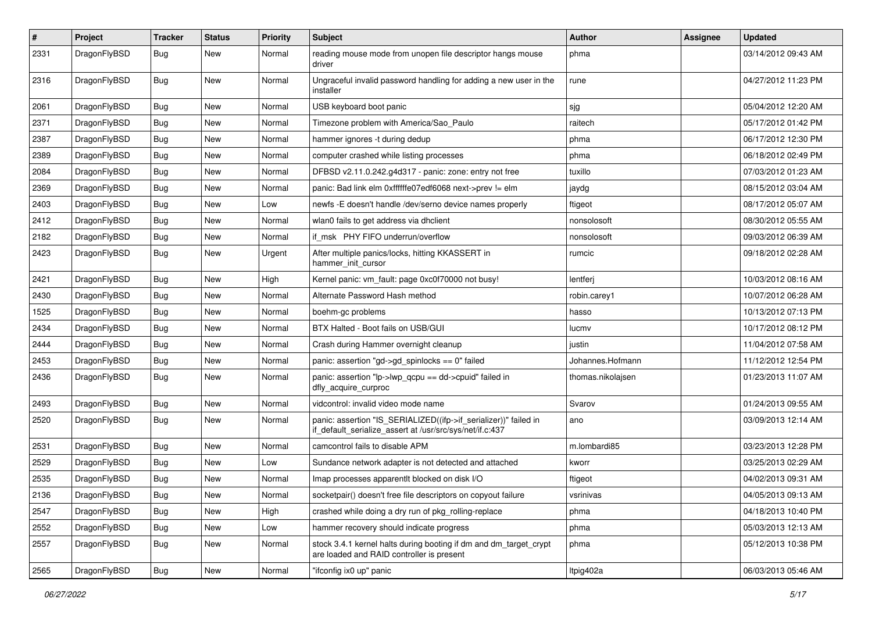| $\sharp$ | Project      | <b>Tracker</b> | <b>Status</b> | <b>Priority</b> | Subject                                                                                                                      | <b>Author</b>     | Assignee | <b>Updated</b>      |
|----------|--------------|----------------|---------------|-----------------|------------------------------------------------------------------------------------------------------------------------------|-------------------|----------|---------------------|
| 2331     | DragonFlyBSD | Bug            | <b>New</b>    | Normal          | reading mouse mode from unopen file descriptor hangs mouse<br>driver                                                         | phma              |          | 03/14/2012 09:43 AM |
| 2316     | DragonFlyBSD | Bug            | <b>New</b>    | Normal          | Ungraceful invalid password handling for adding a new user in the<br>installer                                               | rune              |          | 04/27/2012 11:23 PM |
| 2061     | DragonFlyBSD | Bug            | <b>New</b>    | Normal          | USB keyboard boot panic                                                                                                      | sjg               |          | 05/04/2012 12:20 AM |
| 2371     | DragonFlyBSD | <b>Bug</b>     | <b>New</b>    | Normal          | Timezone problem with America/Sao Paulo                                                                                      | raitech           |          | 05/17/2012 01:42 PM |
| 2387     | DragonFlyBSD | <b>Bug</b>     | New           | Normal          | hammer ignores -t during dedup                                                                                               | phma              |          | 06/17/2012 12:30 PM |
| 2389     | DragonFlyBSD | <b>Bug</b>     | <b>New</b>    | Normal          | computer crashed while listing processes                                                                                     | phma              |          | 06/18/2012 02:49 PM |
| 2084     | DragonFlyBSD | <b>Bug</b>     | New           | Normal          | DFBSD v2.11.0.242.g4d317 - panic: zone: entry not free                                                                       | tuxillo           |          | 07/03/2012 01:23 AM |
| 2369     | DragonFlyBSD | Bug            | <b>New</b>    | Normal          | panic: Bad link elm 0xffffffe07edf6068 next->prev != elm                                                                     | jaydg             |          | 08/15/2012 03:04 AM |
| 2403     | DragonFlyBSD | <b>Bug</b>     | <b>New</b>    | Low             | newfs -E doesn't handle /dev/serno device names properly                                                                     | ftigeot           |          | 08/17/2012 05:07 AM |
| 2412     | DragonFlyBSD | <b>Bug</b>     | <b>New</b>    | Normal          | wlan0 fails to get address via dhclient                                                                                      | nonsolosoft       |          | 08/30/2012 05:55 AM |
| 2182     | DragonFlyBSD | <b>Bug</b>     | <b>New</b>    | Normal          | if msk PHY FIFO underrun/overflow                                                                                            | nonsolosoft       |          | 09/03/2012 06:39 AM |
| 2423     | DragonFlyBSD | <b>Bug</b>     | <b>New</b>    | Urgent          | After multiple panics/locks, hitting KKASSERT in<br>hammer_init_cursor                                                       | rumcic            |          | 09/18/2012 02:28 AM |
| 2421     | DragonFlyBSD | Bug            | <b>New</b>    | High            | Kernel panic: vm fault: page 0xc0f70000 not busy!                                                                            | lentferj          |          | 10/03/2012 08:16 AM |
| 2430     | DragonFlyBSD | <b>Bug</b>     | New           | Normal          | Alternate Password Hash method                                                                                               | robin.carey1      |          | 10/07/2012 06:28 AM |
| 1525     | DragonFlyBSD | Bug            | <b>New</b>    | Normal          | boehm-gc problems                                                                                                            | hasso             |          | 10/13/2012 07:13 PM |
| 2434     | DragonFlyBSD | <b>Bug</b>     | <b>New</b>    | Normal          | BTX Halted - Boot fails on USB/GUI                                                                                           | lucmv             |          | 10/17/2012 08:12 PM |
| 2444     | DragonFlyBSD | <b>Bug</b>     | <b>New</b>    | Normal          | Crash during Hammer overnight cleanup                                                                                        | justin            |          | 11/04/2012 07:58 AM |
| 2453     | DragonFlyBSD | <b>Bug</b>     | <b>New</b>    | Normal          | panic: assertion "gd->gd_spinlocks == 0" failed                                                                              | Johannes.Hofmann  |          | 11/12/2012 12:54 PM |
| 2436     | DragonFlyBSD | <b>Bug</b>     | New           | Normal          | panic: assertion "lp->lwp_qcpu == dd->cpuid" failed in<br>dfly_acquire_curproc                                               | thomas.nikolajsen |          | 01/23/2013 11:07 AM |
| 2493     | DragonFlyBSD | Bug            | <b>New</b>    | Normal          | vidcontrol: invalid video mode name                                                                                          | Svarov            |          | 01/24/2013 09:55 AM |
| 2520     | DragonFlyBSD | Bug            | New           | Normal          | panic: assertion "IS_SERIALIZED((ifp->if_serializer))" failed in<br>if_default_serialize_assert at /usr/src/sys/net/if.c:437 | ano               |          | 03/09/2013 12:14 AM |
| 2531     | DragonFlyBSD | Bug            | <b>New</b>    | Normal          | camcontrol fails to disable APM                                                                                              | m.lombardi85      |          | 03/23/2013 12:28 PM |
| 2529     | DragonFlyBSD | <b>Bug</b>     | <b>New</b>    | Low             | Sundance network adapter is not detected and attached                                                                        | kworr             |          | 03/25/2013 02:29 AM |
| 2535     | DragonFlyBSD | Bug            | <b>New</b>    | Normal          | Imap processes apparentlt blocked on disk I/O                                                                                | ftigeot           |          | 04/02/2013 09:31 AM |
| 2136     | DragonFlyBSD | <b>Bug</b>     | New           | Normal          | socketpair() doesn't free file descriptors on copyout failure                                                                | vsrinivas         |          | 04/05/2013 09:13 AM |
| 2547     | DragonFlyBSD | <b>Bug</b>     | New           | High            | crashed while doing a dry run of pkg rolling-replace                                                                         | phma              |          | 04/18/2013 10:40 PM |
| 2552     | DragonFlyBSD | <b>Bug</b>     | New           | Low             | hammer recovery should indicate progress                                                                                     | phma              |          | 05/03/2013 12:13 AM |
| 2557     | DragonFlyBSD | Bug            | New           | Normal          | stock 3.4.1 kernel halts during booting if dm and dm_target_crypt<br>are loaded and RAID controller is present               | phma              |          | 05/12/2013 10:38 PM |
| 2565     | DragonFlyBSD | <b>Bug</b>     | New           | Normal          | "ifconfig ix0 up" panic                                                                                                      | ltpig402a         |          | 06/03/2013 05:46 AM |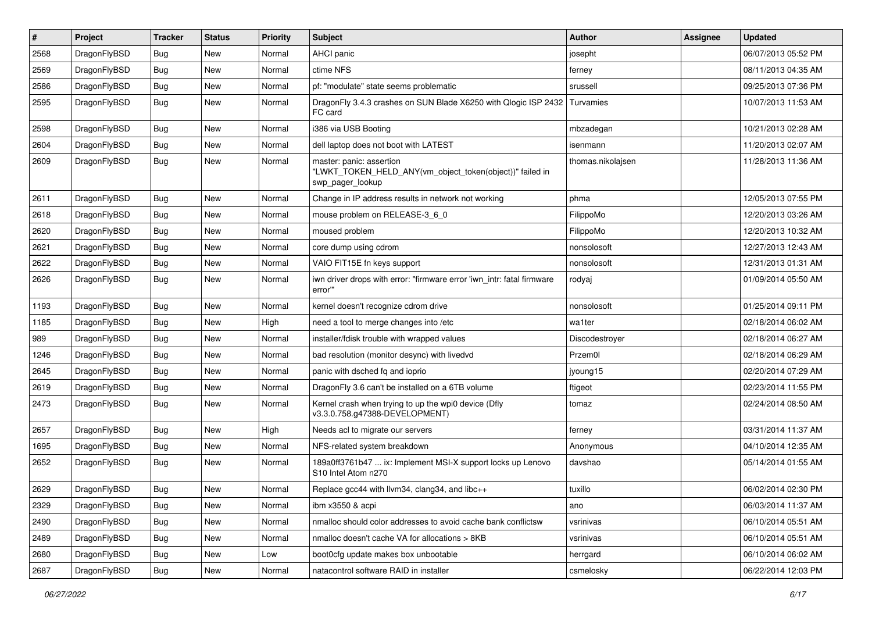| $\pmb{\#}$ | Project      | <b>Tracker</b> | <b>Status</b> | <b>Priority</b> | Subject                                                                                                  | Author            | <b>Assignee</b> | <b>Updated</b>      |
|------------|--------------|----------------|---------------|-----------------|----------------------------------------------------------------------------------------------------------|-------------------|-----------------|---------------------|
| 2568       | DragonFlyBSD | Bug            | <b>New</b>    | Normal          | <b>AHCI</b> panic                                                                                        | josepht           |                 | 06/07/2013 05:52 PM |
| 2569       | DragonFlyBSD | <b>Bug</b>     | <b>New</b>    | Normal          | ctime NFS                                                                                                | ferney            |                 | 08/11/2013 04:35 AM |
| 2586       | DragonFlyBSD | <b>Bug</b>     | New           | Normal          | pf: "modulate" state seems problematic                                                                   | srussell          |                 | 09/25/2013 07:36 PM |
| 2595       | DragonFlyBSD | Bug            | <b>New</b>    | Normal          | DragonFly 3.4.3 crashes on SUN Blade X6250 with Qlogic ISP 2432<br>FC card                               | Turvamies         |                 | 10/07/2013 11:53 AM |
| 2598       | DragonFlyBSD | <b>Bug</b>     | <b>New</b>    | Normal          | i386 via USB Booting                                                                                     | mbzadegan         |                 | 10/21/2013 02:28 AM |
| 2604       | DragonFlyBSD | <b>Bug</b>     | <b>New</b>    | Normal          | dell laptop does not boot with LATEST                                                                    | isenmann          |                 | 11/20/2013 02:07 AM |
| 2609       | DragonFlyBSD | <b>Bug</b>     | New           | Normal          | master: panic: assertion<br>"LWKT_TOKEN_HELD_ANY(vm_object_token(object))" failed in<br>swp_pager_lookup | thomas.nikolajsen |                 | 11/28/2013 11:36 AM |
| 2611       | DragonFlyBSD | <b>Bug</b>     | <b>New</b>    | Normal          | Change in IP address results in network not working                                                      | phma              |                 | 12/05/2013 07:55 PM |
| 2618       | DragonFlyBSD | Bug            | <b>New</b>    | Normal          | mouse problem on RELEASE-3_6_0                                                                           | FilippoMo         |                 | 12/20/2013 03:26 AM |
| 2620       | DragonFlyBSD | <b>Bug</b>     | <b>New</b>    | Normal          | moused problem                                                                                           | FilippoMo         |                 | 12/20/2013 10:32 AM |
| 2621       | DragonFlyBSD | <b>Bug</b>     | New           | Normal          | core dump using cdrom                                                                                    | nonsolosoft       |                 | 12/27/2013 12:43 AM |
| 2622       | DragonFlyBSD | Bug            | <b>New</b>    | Normal          | VAIO FIT15E fn keys support                                                                              | nonsolosoft       |                 | 12/31/2013 01:31 AM |
| 2626       | DragonFlyBSD | Bug            | New           | Normal          | iwn driver drops with error: "firmware error 'iwn_intr: fatal firmware<br>error""                        | rodyaj            |                 | 01/09/2014 05:50 AM |
| 1193       | DragonFlyBSD | Bug            | New           | Normal          | kernel doesn't recognize cdrom drive                                                                     | nonsolosoft       |                 | 01/25/2014 09:11 PM |
| 1185       | DragonFlyBSD | <b>Bug</b>     | <b>New</b>    | High            | need a tool to merge changes into /etc                                                                   | wa1ter            |                 | 02/18/2014 06:02 AM |
| 989        | DragonFlyBSD | Bug            | <b>New</b>    | Normal          | installer/fdisk trouble with wrapped values                                                              | Discodestroyer    |                 | 02/18/2014 06:27 AM |
| 1246       | DragonFlyBSD | <b>Bug</b>     | New           | Normal          | bad resolution (monitor desync) with livedvd                                                             | Przem0l           |                 | 02/18/2014 06:29 AM |
| 2645       | DragonFlyBSD | Bug            | <b>New</b>    | Normal          | panic with dsched fq and ioprio                                                                          | jyoung15          |                 | 02/20/2014 07:29 AM |
| 2619       | DragonFlyBSD | <b>Bug</b>     | <b>New</b>    | Normal          | DragonFly 3.6 can't be installed on a 6TB volume                                                         | ftigeot           |                 | 02/23/2014 11:55 PM |
| 2473       | DragonFlyBSD | Bug            | <b>New</b>    | Normal          | Kernel crash when trying to up the wpi0 device (Dfly<br>v3.3.0.758.g47388-DEVELOPMENT)                   | tomaz             |                 | 02/24/2014 08:50 AM |
| 2657       | DragonFlyBSD | Bug            | <b>New</b>    | High            | Needs acl to migrate our servers                                                                         | ferney            |                 | 03/31/2014 11:37 AM |
| 1695       | DragonFlyBSD | Bug            | <b>New</b>    | Normal          | NFS-related system breakdown                                                                             | Anonymous         |                 | 04/10/2014 12:35 AM |
| 2652       | DragonFlyBSD | Bug            | <b>New</b>    | Normal          | 189a0ff3761b47  ix: Implement MSI-X support locks up Lenovo<br>S10 Intel Atom n270                       | davshao           |                 | 05/14/2014 01:55 AM |
| 2629       | DragonFlyBSD | Bug            | New           | Normal          | Replace gcc44 with llvm34, clang34, and libc++                                                           | tuxillo           |                 | 06/02/2014 02:30 PM |
| 2329       | DragonFlyBSD | Bug            | New           | Normal          | ibm x3550 & acpi                                                                                         | ano               |                 | 06/03/2014 11:37 AM |
| 2490       | DragonFlyBSD | <b>Bug</b>     | New           | Normal          | nmalloc should color addresses to avoid cache bank conflictsw                                            | vsrinivas         |                 | 06/10/2014 05:51 AM |
| 2489       | DragonFlyBSD | <b>Bug</b>     | New           | Normal          | nmalloc doesn't cache VA for allocations > 8KB                                                           | vsrinivas         |                 | 06/10/2014 05:51 AM |
| 2680       | DragonFlyBSD | <b>Bug</b>     | New           | Low             | boot0cfg update makes box unbootable                                                                     | herrgard          |                 | 06/10/2014 06:02 AM |
| 2687       | DragonFlyBSD | <b>Bug</b>     | New           | Normal          | natacontrol software RAID in installer                                                                   | csmelosky         |                 | 06/22/2014 12:03 PM |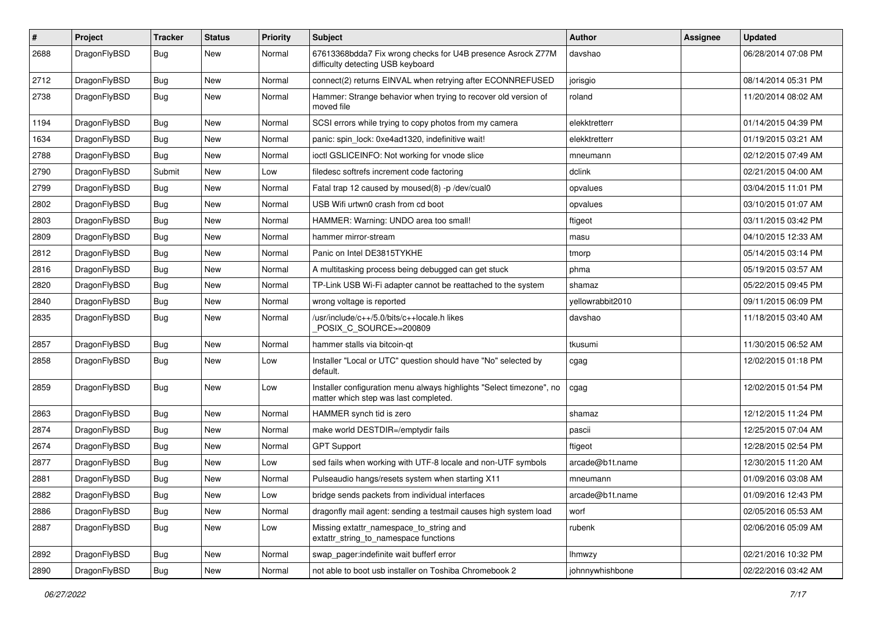| $\#$ | Project      | <b>Tracker</b> | <b>Status</b> | <b>Priority</b> | <b>Subject</b>                                                                                                | <b>Author</b>    | Assignee | <b>Updated</b>      |
|------|--------------|----------------|---------------|-----------------|---------------------------------------------------------------------------------------------------------------|------------------|----------|---------------------|
| 2688 | DragonFlyBSD | Bug            | <b>New</b>    | Normal          | 67613368bdda7 Fix wrong checks for U4B presence Asrock Z77M<br>difficulty detecting USB keyboard              | davshao          |          | 06/28/2014 07:08 PM |
| 2712 | DragonFlyBSD | <b>Bug</b>     | <b>New</b>    | Normal          | connect(2) returns EINVAL when retrying after ECONNREFUSED                                                    | jorisgio         |          | 08/14/2014 05:31 PM |
| 2738 | DragonFlyBSD | <b>Bug</b>     | <b>New</b>    | Normal          | Hammer: Strange behavior when trying to recover old version of<br>moved file                                  | roland           |          | 11/20/2014 08:02 AM |
| 1194 | DragonFlyBSD | <b>Bug</b>     | <b>New</b>    | Normal          | SCSI errors while trying to copy photos from my camera                                                        | elekktretterr    |          | 01/14/2015 04:39 PM |
| 1634 | DragonFlyBSD | <b>Bug</b>     | <b>New</b>    | Normal          | panic: spin lock: 0xe4ad1320, indefinitive wait!                                                              | elekktretterr    |          | 01/19/2015 03:21 AM |
| 2788 | DragonFlyBSD | Bug            | New           | Normal          | ioctl GSLICEINFO: Not working for vnode slice                                                                 | mneumann         |          | 02/12/2015 07:49 AM |
| 2790 | DragonFlyBSD | Submit         | New           | Low             | filedesc softrefs increment code factoring                                                                    | dclink           |          | 02/21/2015 04:00 AM |
| 2799 | DragonFlyBSD | <b>Bug</b>     | <b>New</b>    | Normal          | Fatal trap 12 caused by moused(8) -p /dev/cual0                                                               | opvalues         |          | 03/04/2015 11:01 PM |
| 2802 | DragonFlyBSD | <b>Bug</b>     | <b>New</b>    | Normal          | USB Wifi urtwn0 crash from cd boot                                                                            | opvalues         |          | 03/10/2015 01:07 AM |
| 2803 | DragonFlyBSD | <b>Bug</b>     | <b>New</b>    | Normal          | HAMMER: Warning: UNDO area too small!                                                                         | ftigeot          |          | 03/11/2015 03:42 PM |
| 2809 | DragonFlyBSD | <b>Bug</b>     | <b>New</b>    | Normal          | hammer mirror-stream                                                                                          | masu             |          | 04/10/2015 12:33 AM |
| 2812 | DragonFlyBSD | <b>Bug</b>     | <b>New</b>    | Normal          | Panic on Intel DE3815TYKHE                                                                                    | tmorp            |          | 05/14/2015 03:14 PM |
| 2816 | DragonFlyBSD | <b>Bug</b>     | <b>New</b>    | Normal          | A multitasking process being debugged can get stuck                                                           | phma             |          | 05/19/2015 03:57 AM |
| 2820 | DragonFlyBSD | <b>Bug</b>     | <b>New</b>    | Normal          | TP-Link USB Wi-Fi adapter cannot be reattached to the system                                                  | shamaz           |          | 05/22/2015 09:45 PM |
| 2840 | DragonFlyBSD | <b>Bug</b>     | New           | Normal          | wrong voltage is reported                                                                                     | yellowrabbit2010 |          | 09/11/2015 06:09 PM |
| 2835 | DragonFlyBSD | <b>Bug</b>     | <b>New</b>    | Normal          | /usr/include/c++/5.0/bits/c++locale.h likes<br>POSIX C SOURCE>=200809                                         | davshao          |          | 11/18/2015 03:40 AM |
| 2857 | DragonFlyBSD | <b>Bug</b>     | New           | Normal          | hammer stalls via bitcoin-qt                                                                                  | tkusumi          |          | 11/30/2015 06:52 AM |
| 2858 | DragonFlyBSD | Bug            | <b>New</b>    | Low             | Installer "Local or UTC" question should have "No" selected by<br>default.                                    | cgag             |          | 12/02/2015 01:18 PM |
| 2859 | DragonFlyBSD | <b>Bug</b>     | New           | Low             | Installer configuration menu always highlights "Select timezone", no<br>matter which step was last completed. | cgag             |          | 12/02/2015 01:54 PM |
| 2863 | DragonFlyBSD | <b>Bug</b>     | <b>New</b>    | Normal          | HAMMER synch tid is zero                                                                                      | shamaz           |          | 12/12/2015 11:24 PM |
| 2874 | DragonFlyBSD | <b>Bug</b>     | <b>New</b>    | Normal          | make world DESTDIR=/emptydir fails                                                                            | pascii           |          | 12/25/2015 07:04 AM |
| 2674 | DragonFlyBSD | <b>Bug</b>     | New           | Normal          | <b>GPT Support</b>                                                                                            | ftigeot          |          | 12/28/2015 02:54 PM |
| 2877 | DragonFlyBSD | <b>Bug</b>     | <b>New</b>    | Low             | sed fails when working with UTF-8 locale and non-UTF symbols                                                  | arcade@b1t.name  |          | 12/30/2015 11:20 AM |
| 2881 | DragonFlyBSD | <b>Bug</b>     | <b>New</b>    | Normal          | Pulseaudio hangs/resets system when starting X11                                                              | mneumann         |          | 01/09/2016 03:08 AM |
| 2882 | DragonFlyBSD | <b>Bug</b>     | New           | LOW             | bridge sends packets from individual interfaces                                                               | arcade@b1t.name  |          | 01/09/2016 12:43 PM |
| 2886 | DragonFlyBSD | <b>Bug</b>     | New           | Normal          | dragonfly mail agent: sending a testmail causes high system load                                              | worf             |          | 02/05/2016 05:53 AM |
| 2887 | DragonFlyBSD | <b>Bug</b>     | New           | Low             | Missing extattr_namespace_to_string and<br>extattr_string_to_namespace functions                              | rubenk           |          | 02/06/2016 05:09 AM |
| 2892 | DragonFlyBSD | <b>Bug</b>     | New           | Normal          | swap_pager:indefinite wait bufferf error                                                                      | lhmwzy           |          | 02/21/2016 10:32 PM |
| 2890 | DragonFlyBSD | <b>Bug</b>     | New           | Normal          | not able to boot usb installer on Toshiba Chromebook 2                                                        | johnnywhishbone  |          | 02/22/2016 03:42 AM |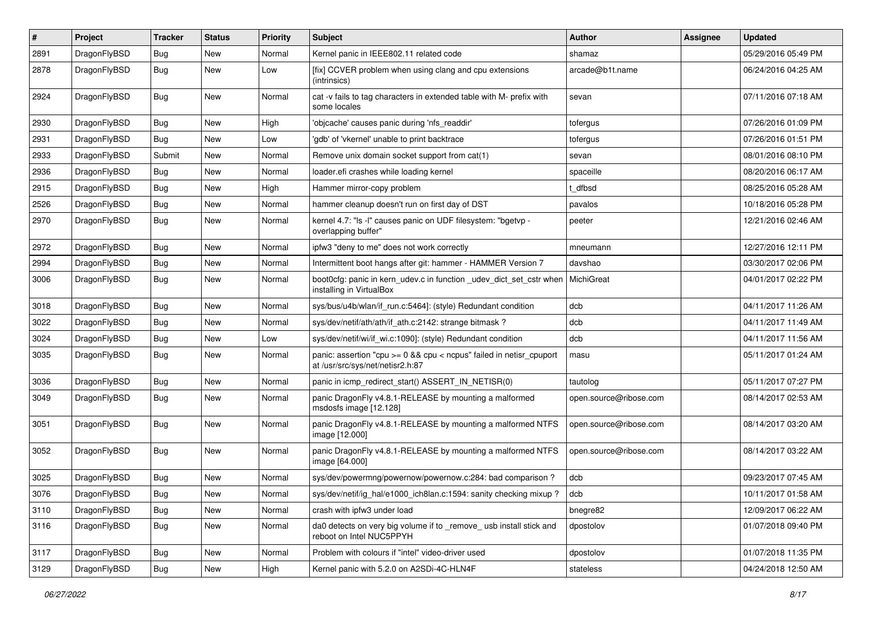| $\#$ | Project      | <b>Tracker</b> | <b>Status</b> | <b>Priority</b> | Subject                                                                                                 | <b>Author</b>          | Assignee | <b>Updated</b>      |
|------|--------------|----------------|---------------|-----------------|---------------------------------------------------------------------------------------------------------|------------------------|----------|---------------------|
| 2891 | DragonFlyBSD | <b>Bug</b>     | <b>New</b>    | Normal          | Kernel panic in IEEE802.11 related code                                                                 | shamaz                 |          | 05/29/2016 05:49 PM |
| 2878 | DragonFlyBSD | <b>Bug</b>     | <b>New</b>    | Low             | [fix] CCVER problem when using clang and cpu extensions<br>(intrinsics)                                 | arcade@b1t.name        |          | 06/24/2016 04:25 AM |
| 2924 | DragonFlyBSD | Bug            | New           | Normal          | cat -v fails to tag characters in extended table with M- prefix with<br>some locales                    | sevan                  |          | 07/11/2016 07:18 AM |
| 2930 | DragonFlyBSD | <b>Bug</b>     | <b>New</b>    | High            | 'objcache' causes panic during 'nfs_readdir'                                                            | tofergus               |          | 07/26/2016 01:09 PM |
| 2931 | DragonFlyBSD | <b>Bug</b>     | <b>New</b>    | Low             | 'gdb' of 'vkernel' unable to print backtrace                                                            | tofergus               |          | 07/26/2016 01:51 PM |
| 2933 | DragonFlyBSD | Submit         | <b>New</b>    | Normal          | Remove unix domain socket support from cat(1)                                                           | sevan                  |          | 08/01/2016 08:10 PM |
| 2936 | DragonFlyBSD | <b>Bug</b>     | New           | Normal          | loader.efi crashes while loading kernel                                                                 | spaceille              |          | 08/20/2016 06:17 AM |
| 2915 | DragonFlyBSD | Bug            | <b>New</b>    | High            | Hammer mirror-copy problem                                                                              | t dfbsd                |          | 08/25/2016 05:28 AM |
| 2526 | DragonFlyBSD | <b>Bug</b>     | New           | Normal          | hammer cleanup doesn't run on first day of DST                                                          | pavalos                |          | 10/18/2016 05:28 PM |
| 2970 | DragonFlyBSD | <b>Bug</b>     | New           | Normal          | kernel 4.7: "Is -I" causes panic on UDF filesystem: "bgetvp -<br>overlapping buffer"                    | peeter                 |          | 12/21/2016 02:46 AM |
| 2972 | DragonFlyBSD | <b>Bug</b>     | <b>New</b>    | Normal          | ipfw3 "deny to me" does not work correctly                                                              | mneumann               |          | 12/27/2016 12:11 PM |
| 2994 | DragonFlyBSD | <b>Bug</b>     | <b>New</b>    | Normal          | Intermittent boot hangs after git: hammer - HAMMER Version 7                                            | davshao                |          | 03/30/2017 02:06 PM |
| 3006 | DragonFlyBSD | <b>Bug</b>     | New           | Normal          | boot0cfg: panic in kern_udev.c in function _udev_dict_set_cstr when<br>installing in VirtualBox         | MichiGreat             |          | 04/01/2017 02:22 PM |
| 3018 | DragonFlyBSD | <b>Bug</b>     | <b>New</b>    | Normal          | sys/bus/u4b/wlan/if_run.c:5464]: (style) Redundant condition                                            | dcb                    |          | 04/11/2017 11:26 AM |
| 3022 | DragonFlyBSD | <b>Bug</b>     | New           | Normal          | sys/dev/netif/ath/ath/if_ath.c:2142: strange bitmask?                                                   | dcb                    |          | 04/11/2017 11:49 AM |
| 3024 | DragonFlyBSD | <b>Bug</b>     | New           | Low             | sys/dev/netif/wi/if_wi.c:1090]: (style) Redundant condition                                             | dcb                    |          | 04/11/2017 11:56 AM |
| 3035 | DragonFlyBSD | <b>Bug</b>     | New           | Normal          | panic: assertion "cpu >= 0 && cpu < ncpus" failed in netisr_cpuport<br>at /usr/src/sys/net/netisr2.h:87 | masu                   |          | 05/11/2017 01:24 AM |
| 3036 | DragonFlyBSD | <b>Bug</b>     | <b>New</b>    | Normal          | panic in icmp_redirect_start() ASSERT_IN_NETISR(0)                                                      | tautolog               |          | 05/11/2017 07:27 PM |
| 3049 | DragonFlyBSD | <b>Bug</b>     | New           | Normal          | panic DragonFly v4.8.1-RELEASE by mounting a malformed<br>msdosfs image [12.128]                        | open.source@ribose.com |          | 08/14/2017 02:53 AM |
| 3051 | DragonFlyBSD | <b>Bug</b>     | <b>New</b>    | Normal          | panic DragonFly v4.8.1-RELEASE by mounting a malformed NTFS<br>image [12.000]                           | open.source@ribose.com |          | 08/14/2017 03:20 AM |
| 3052 | DragonFlyBSD | Bug            | New           | Normal          | panic DragonFly v4.8.1-RELEASE by mounting a malformed NTFS<br>image [64.000]                           | open.source@ribose.com |          | 08/14/2017 03:22 AM |
| 3025 | DragonFlyBSD | <b>Bug</b>     | New           | Normal          | sys/dev/powermng/powernow/powernow.c:284: bad comparison?                                               | dcb                    |          | 09/23/2017 07:45 AM |
| 3076 | DragonFlyBSD | <b>Bug</b>     | New           | Normal          | sys/dev/netif/ig_hal/e1000_ich8lan.c:1594: sanity checking mixup?                                       | dcb                    |          | 10/11/2017 01:58 AM |
| 3110 | DragonFlyBSD | <b>Bug</b>     | New           | Normal          | crash with ipfw3 under load                                                                             | bnegre82               |          | 12/09/2017 06:22 AM |
| 3116 | DragonFlyBSD | <b>Bug</b>     | New           | Normal          | da0 detects on very big volume if to _remove_ usb install stick and<br>reboot on Intel NUC5PPYH         | dpostolov              |          | 01/07/2018 09:40 PM |
| 3117 | DragonFlyBSD | <b>Bug</b>     | New           | Normal          | Problem with colours if "intel" video-driver used                                                       | dpostolov              |          | 01/07/2018 11:35 PM |
| 3129 | DragonFlyBSD | Bug            | New           | High            | Kernel panic with 5.2.0 on A2SDi-4C-HLN4F                                                               | stateless              |          | 04/24/2018 12:50 AM |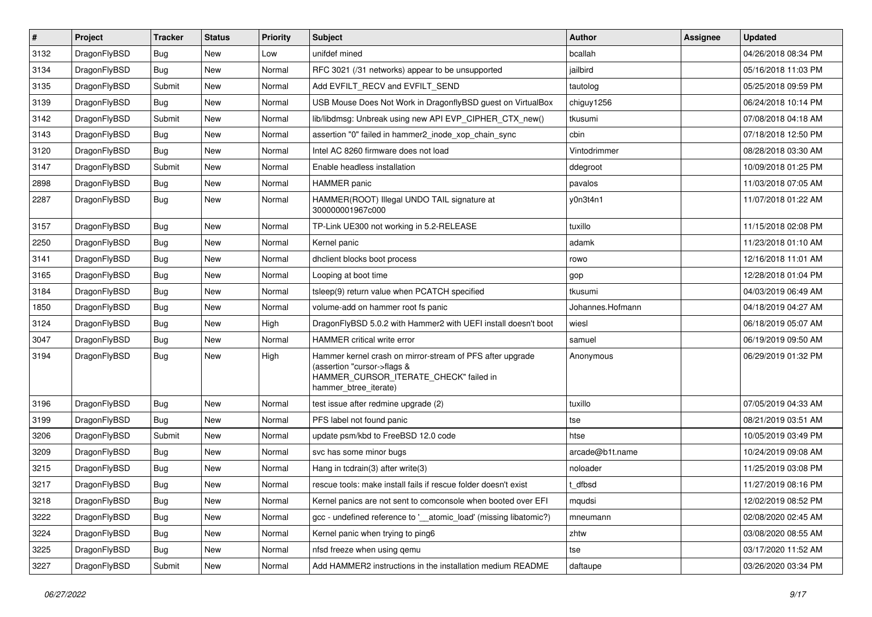| $\sharp$ | Project      | <b>Tracker</b> | <b>Status</b> | <b>Priority</b> | Subject                                                                                                                                                     | <b>Author</b>    | <b>Assignee</b> | <b>Updated</b>      |
|----------|--------------|----------------|---------------|-----------------|-------------------------------------------------------------------------------------------------------------------------------------------------------------|------------------|-----------------|---------------------|
| 3132     | DragonFlyBSD | <b>Bug</b>     | New           | Low             | unifdef mined                                                                                                                                               | bcallah          |                 | 04/26/2018 08:34 PM |
| 3134     | DragonFlyBSD | <b>Bug</b>     | <b>New</b>    | Normal          | RFC 3021 (/31 networks) appear to be unsupported                                                                                                            | jailbird         |                 | 05/16/2018 11:03 PM |
| 3135     | DragonFlyBSD | Submit         | New           | Normal          | Add EVFILT_RECV and EVFILT_SEND                                                                                                                             | tautolog         |                 | 05/25/2018 09:59 PM |
| 3139     | DragonFlyBSD | Bug            | <b>New</b>    | Normal          | USB Mouse Does Not Work in DragonflyBSD guest on VirtualBox                                                                                                 | chiguy1256       |                 | 06/24/2018 10:14 PM |
| 3142     | DragonFlyBSD | Submit         | <b>New</b>    | Normal          | lib/libdmsg: Unbreak using new API EVP_CIPHER_CTX_new()                                                                                                     | tkusumi          |                 | 07/08/2018 04:18 AM |
| 3143     | DragonFlyBSD | <b>Bug</b>     | New           | Normal          | assertion "0" failed in hammer2_inode_xop_chain_sync                                                                                                        | cbin             |                 | 07/18/2018 12:50 PM |
| 3120     | DragonFlyBSD | <b>Bug</b>     | New           | Normal          | Intel AC 8260 firmware does not load                                                                                                                        | Vintodrimmer     |                 | 08/28/2018 03:30 AM |
| 3147     | DragonFlyBSD | Submit         | <b>New</b>    | Normal          | Enable headless installation                                                                                                                                | ddegroot         |                 | 10/09/2018 01:25 PM |
| 2898     | DragonFlyBSD | <b>Bug</b>     | New           | Normal          | HAMMER panic                                                                                                                                                | pavalos          |                 | 11/03/2018 07:05 AM |
| 2287     | DragonFlyBSD | <b>Bug</b>     | New           | Normal          | HAMMER(ROOT) Illegal UNDO TAIL signature at<br>300000001967c000                                                                                             | y0n3t4n1         |                 | 11/07/2018 01:22 AM |
| 3157     | DragonFlyBSD | <b>Bug</b>     | <b>New</b>    | Normal          | TP-Link UE300 not working in 5.2-RELEASE                                                                                                                    | tuxillo          |                 | 11/15/2018 02:08 PM |
| 2250     | DragonFlyBSD | <b>Bug</b>     | <b>New</b>    | Normal          | Kernel panic                                                                                                                                                | adamk            |                 | 11/23/2018 01:10 AM |
| 3141     | DragonFlyBSD | <b>Bug</b>     | <b>New</b>    | Normal          | dhclient blocks boot process                                                                                                                                | rowo             |                 | 12/16/2018 11:01 AM |
| 3165     | DragonFlyBSD | Bug            | New           | Normal          | Looping at boot time                                                                                                                                        | gop              |                 | 12/28/2018 01:04 PM |
| 3184     | DragonFlyBSD | Bug            | <b>New</b>    | Normal          | tsleep(9) return value when PCATCH specified                                                                                                                | tkusumi          |                 | 04/03/2019 06:49 AM |
| 1850     | DragonFlyBSD | Bug            | New           | Normal          | volume-add on hammer root fs panic                                                                                                                          | Johannes.Hofmann |                 | 04/18/2019 04:27 AM |
| 3124     | DragonFlyBSD | Bug            | <b>New</b>    | High            | DragonFlyBSD 5.0.2 with Hammer2 with UEFI install doesn't boot                                                                                              | wiesl            |                 | 06/18/2019 05:07 AM |
| 3047     | DragonFlyBSD | Bug            | New           | Normal          | HAMMER critical write error                                                                                                                                 | samuel           |                 | 06/19/2019 09:50 AM |
| 3194     | DragonFlyBSD | Bug            | <b>New</b>    | High            | Hammer kernel crash on mirror-stream of PFS after upgrade<br>(assertion "cursor->flags &<br>HAMMER_CURSOR_ITERATE_CHECK" failed in<br>hammer_btree_iterate) | Anonymous        |                 | 06/29/2019 01:32 PM |
| 3196     | DragonFlyBSD | Bug            | New           | Normal          | test issue after redmine upgrade (2)                                                                                                                        | tuxillo          |                 | 07/05/2019 04:33 AM |
| 3199     | DragonFlyBSD | Bug            | <b>New</b>    | Normal          | PFS label not found panic                                                                                                                                   | tse              |                 | 08/21/2019 03:51 AM |
| 3206     | DragonFlyBSD | Submit         | <b>New</b>    | Normal          | update psm/kbd to FreeBSD 12.0 code                                                                                                                         | htse             |                 | 10/05/2019 03:49 PM |
| 3209     | DragonFlyBSD | Bug            | New           | Normal          | svc has some minor bugs                                                                                                                                     | arcade@b1t.name  |                 | 10/24/2019 09:08 AM |
| 3215     | DragonFlyBSD | Bug            | <b>New</b>    | Normal          | Hang in todrain(3) after write(3)                                                                                                                           | noloader         |                 | 11/25/2019 03:08 PM |
| 3217     | DragonFlyBSD | Bug            | New           | Normal          | rescue tools: make install fails if rescue folder doesn't exist                                                                                             | dfbsd            |                 | 11/27/2019 08:16 PM |
| 3218     | DragonFlyBSD | <b>Bug</b>     | New           | Normal          | Kernel panics are not sent to comconsole when booted over EFI                                                                                               | mqudsi           |                 | 12/02/2019 08:52 PM |
| 3222     | DragonFlyBSD | <b>Bug</b>     | New           | Normal          | gcc - undefined reference to '__atomic_load' (missing libatomic?)                                                                                           | mneumann         |                 | 02/08/2020 02:45 AM |
| 3224     | DragonFlyBSD | <b>Bug</b>     | New           | Normal          | Kernel panic when trying to ping6                                                                                                                           | zhtw             |                 | 03/08/2020 08:55 AM |
| 3225     | DragonFlyBSD | <b>Bug</b>     | New           | Normal          | nfsd freeze when using gemu                                                                                                                                 | tse              |                 | 03/17/2020 11:52 AM |
| 3227     | DragonFlyBSD | Submit         | New           | Normal          | Add HAMMER2 instructions in the installation medium README                                                                                                  | daftaupe         |                 | 03/26/2020 03:34 PM |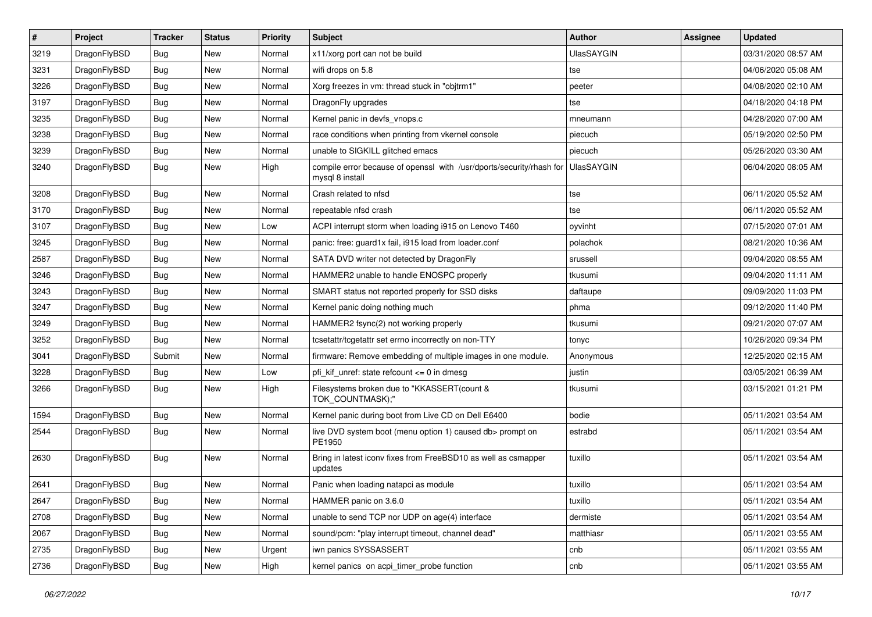| $\vert$ # | Project      | <b>Tracker</b> | <b>Status</b> | <b>Priority</b> | <b>Subject</b>                                                                          | Author            | <b>Assignee</b> | <b>Updated</b>      |
|-----------|--------------|----------------|---------------|-----------------|-----------------------------------------------------------------------------------------|-------------------|-----------------|---------------------|
| 3219      | DragonFlyBSD | Bug            | <b>New</b>    | Normal          | x11/xorg port can not be build                                                          | <b>UlasSAYGIN</b> |                 | 03/31/2020 08:57 AM |
| 3231      | DragonFlyBSD | <b>Bug</b>     | <b>New</b>    | Normal          | wifi drops on 5.8                                                                       | tse               |                 | 04/06/2020 05:08 AM |
| 3226      | DragonFlyBSD | <b>Bug</b>     | <b>New</b>    | Normal          | Xorg freezes in vm: thread stuck in "objtrm1"                                           | peeter            |                 | 04/08/2020 02:10 AM |
| 3197      | DragonFlyBSD | Bug            | <b>New</b>    | Normal          | DragonFly upgrades                                                                      | tse               |                 | 04/18/2020 04:18 PM |
| 3235      | DragonFlyBSD | Bug            | <b>New</b>    | Normal          | Kernel panic in devfs vnops.c                                                           | mneumann          |                 | 04/28/2020 07:00 AM |
| 3238      | DragonFlyBSD | <b>Bug</b>     | New           | Normal          | race conditions when printing from vkernel console                                      | piecuch           |                 | 05/19/2020 02:50 PM |
| 3239      | DragonFlyBSD | Bug            | <b>New</b>    | Normal          | unable to SIGKILL glitched emacs                                                        | piecuch           |                 | 05/26/2020 03:30 AM |
| 3240      | DragonFlyBSD | Bug            | New           | High            | compile error because of openssl with /usr/dports/security/rhash for<br>mysql 8 install | <b>UlasSAYGIN</b> |                 | 06/04/2020 08:05 AM |
| 3208      | DragonFlyBSD | Bug            | <b>New</b>    | Normal          | Crash related to nfsd                                                                   | tse               |                 | 06/11/2020 05:52 AM |
| 3170      | DragonFlyBSD | Bug            | <b>New</b>    | Normal          | repeatable nfsd crash                                                                   | tse               |                 | 06/11/2020 05:52 AM |
| 3107      | DragonFlyBSD | Bug            | <b>New</b>    | Low             | ACPI interrupt storm when loading i915 on Lenovo T460                                   | oyvinht           |                 | 07/15/2020 07:01 AM |
| 3245      | DragonFlyBSD | Bug            | <b>New</b>    | Normal          | panic: free: guard1x fail, i915 load from loader.conf                                   | polachok          |                 | 08/21/2020 10:36 AM |
| 2587      | DragonFlyBSD | Bug            | New           | Normal          | SATA DVD writer not detected by DragonFly                                               | srussell          |                 | 09/04/2020 08:55 AM |
| 3246      | DragonFlyBSD | <b>Bug</b>     | <b>New</b>    | Normal          | HAMMER2 unable to handle ENOSPC properly                                                | tkusumi           |                 | 09/04/2020 11:11 AM |
| 3243      | DragonFlyBSD | <b>Bug</b>     | <b>New</b>    | Normal          | SMART status not reported properly for SSD disks                                        | daftaupe          |                 | 09/09/2020 11:03 PM |
| 3247      | DragonFlyBSD | Bug            | <b>New</b>    | Normal          | Kernel panic doing nothing much                                                         | phma              |                 | 09/12/2020 11:40 PM |
| 3249      | DragonFlyBSD | <b>Bug</b>     | <b>New</b>    | Normal          | HAMMER2 fsync(2) not working properly                                                   | tkusumi           |                 | 09/21/2020 07:07 AM |
| 3252      | DragonFlyBSD | Bug            | <b>New</b>    | Normal          | tcsetattr/tcgetattr set errno incorrectly on non-TTY                                    | tonyc             |                 | 10/26/2020 09:34 PM |
| 3041      | DragonFlyBSD | Submit         | <b>New</b>    | Normal          | firmware: Remove embedding of multiple images in one module.                            | Anonymous         |                 | 12/25/2020 02:15 AM |
| 3228      | DragonFlyBSD | Bug            | New           | Low             | pfi_kif_unref: state refcount <= 0 in dmesg                                             | justin            |                 | 03/05/2021 06:39 AM |
| 3266      | DragonFlyBSD | Bug            | <b>New</b>    | High            | Filesystems broken due to "KKASSERT(count &<br>TOK_COUNTMASK);"                         | tkusumi           |                 | 03/15/2021 01:21 PM |
| 1594      | DragonFlyBSD | Bug            | <b>New</b>    | Normal          | Kernel panic during boot from Live CD on Dell E6400                                     | bodie             |                 | 05/11/2021 03:54 AM |
| 2544      | DragonFlyBSD | <b>Bug</b>     | New           | Normal          | live DVD system boot (menu option 1) caused db> prompt on<br>PE1950                     | estrabd           |                 | 05/11/2021 03:54 AM |
| 2630      | DragonFlyBSD | Bug            | <b>New</b>    | Normal          | Bring in latest iconv fixes from FreeBSD10 as well as csmapper<br>updates               | tuxillo           |                 | 05/11/2021 03:54 AM |
| 2641      | DragonFlyBSD | <b>Bug</b>     | New           | Normal          | Panic when loading natapci as module                                                    | tuxillo           |                 | 05/11/2021 03:54 AM |
| 2647      | DragonFlyBSD | <b>Bug</b>     | New           | Normal          | HAMMER panic on 3.6.0                                                                   | tuxillo           |                 | 05/11/2021 03:54 AM |
| 2708      | DragonFlyBSD | Bug            | New           | Normal          | unable to send TCP nor UDP on age(4) interface                                          | dermiste          |                 | 05/11/2021 03:54 AM |
| 2067      | DragonFlyBSD | <b>Bug</b>     | New           | Normal          | sound/pcm: "play interrupt timeout, channel dead"                                       | matthiasr         |                 | 05/11/2021 03:55 AM |
| 2735      | DragonFlyBSD | <b>Bug</b>     | New           | Urgent          | iwn panics SYSSASSERT                                                                   | cnb               |                 | 05/11/2021 03:55 AM |
| 2736      | DragonFlyBSD | <b>Bug</b>     | New           | High            | kernel panics on acpi_timer_probe function                                              | cnb               |                 | 05/11/2021 03:55 AM |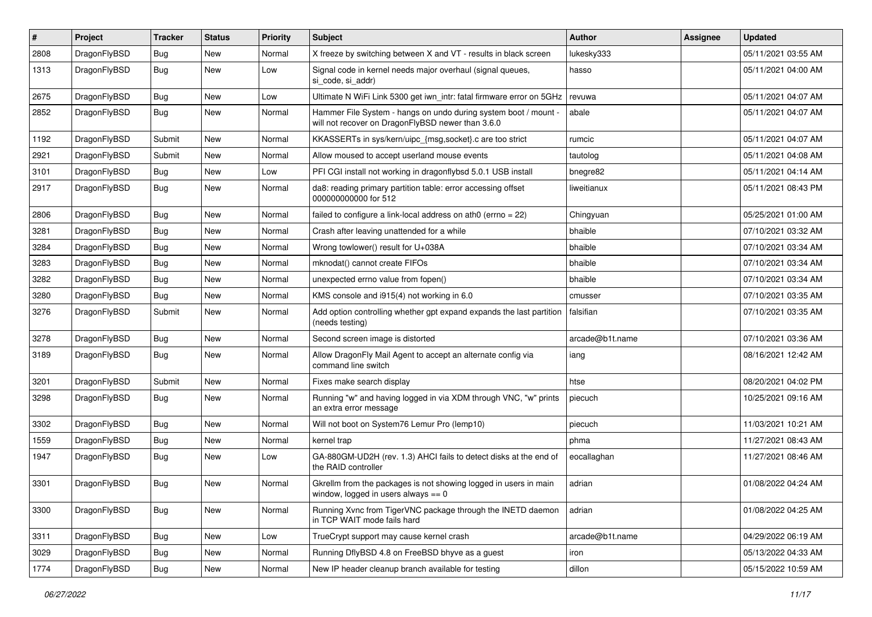| #    | Project      | <b>Tracker</b> | <b>Status</b> | <b>Priority</b> | Subject                                                                                                              | <b>Author</b>   | Assignee | <b>Updated</b>      |
|------|--------------|----------------|---------------|-----------------|----------------------------------------------------------------------------------------------------------------------|-----------------|----------|---------------------|
| 2808 | DragonFlyBSD | <b>Bug</b>     | <b>New</b>    | Normal          | X freeze by switching between X and VT - results in black screen                                                     | lukesky333      |          | 05/11/2021 03:55 AM |
| 1313 | DragonFlyBSD | <b>Bug</b>     | <b>New</b>    | Low             | Signal code in kernel needs major overhaul (signal queues,<br>si code, si addr)                                      | hasso           |          | 05/11/2021 04:00 AM |
| 2675 | DragonFlyBSD | <b>Bug</b>     | <b>New</b>    | Low             | Ultimate N WiFi Link 5300 get iwn_intr: fatal firmware error on 5GHz                                                 | revuwa          |          | 05/11/2021 04:07 AM |
| 2852 | DragonFlyBSD | <b>Bug</b>     | <b>New</b>    | Normal          | Hammer File System - hangs on undo during system boot / mount -<br>will not recover on DragonFlyBSD newer than 3.6.0 | abale           |          | 05/11/2021 04:07 AM |
| 1192 | DragonFlyBSD | Submit         | <b>New</b>    | Normal          | KKASSERTs in sys/kern/uipc_{msg,socket}.c are too strict                                                             | rumcic          |          | 05/11/2021 04:07 AM |
| 2921 | DragonFlyBSD | Submit         | <b>New</b>    | Normal          | Allow moused to accept userland mouse events                                                                         | tautolog        |          | 05/11/2021 04:08 AM |
| 3101 | DragonFlyBSD | <b>Bug</b>     | <b>New</b>    | Low             | PFI CGI install not working in dragonflybsd 5.0.1 USB install                                                        | bnegre82        |          | 05/11/2021 04:14 AM |
| 2917 | DragonFlyBSD | <b>Bug</b>     | <b>New</b>    | Normal          | da8: reading primary partition table: error accessing offset<br>000000000000 for 512                                 | liweitianux     |          | 05/11/2021 08:43 PM |
| 2806 | DragonFlyBSD | <b>Bug</b>     | <b>New</b>    | Normal          | failed to configure a link-local address on ath $0$ (errno = 22)                                                     | Chingyuan       |          | 05/25/2021 01:00 AM |
| 3281 | DragonFlyBSD | <b>Bug</b>     | <b>New</b>    | Normal          | Crash after leaving unattended for a while                                                                           | bhaible         |          | 07/10/2021 03:32 AM |
| 3284 | DragonFlyBSD | <b>Bug</b>     | <b>New</b>    | Normal          | Wrong towlower() result for U+038A                                                                                   | bhaible         |          | 07/10/2021 03:34 AM |
| 3283 | DragonFlyBSD | <b>Bug</b>     | <b>New</b>    | Normal          | mknodat() cannot create FIFOs                                                                                        | bhaible         |          | 07/10/2021 03:34 AM |
| 3282 | DragonFlyBSD | <b>Bug</b>     | New           | Normal          | unexpected errno value from fopen()                                                                                  | bhaible         |          | 07/10/2021 03:34 AM |
| 3280 | DragonFlyBSD | <b>Bug</b>     | <b>New</b>    | Normal          | KMS console and i915(4) not working in 6.0                                                                           | cmusser         |          | 07/10/2021 03:35 AM |
| 3276 | DragonFlyBSD | Submit         | <b>New</b>    | Normal          | Add option controlling whether gpt expand expands the last partition<br>(needs testing)                              | falsifian       |          | 07/10/2021 03:35 AM |
| 3278 | DragonFlyBSD | Bug            | <b>New</b>    | Normal          | Second screen image is distorted                                                                                     | arcade@b1t.name |          | 07/10/2021 03:36 AM |
| 3189 | DragonFlyBSD | <b>Bug</b>     | New           | Normal          | Allow DragonFly Mail Agent to accept an alternate config via<br>command line switch                                  | iang            |          | 08/16/2021 12:42 AM |
| 3201 | DragonFlyBSD | Submit         | <b>New</b>    | Normal          | Fixes make search display                                                                                            | htse            |          | 08/20/2021 04:02 PM |
| 3298 | DragonFlyBSD | Bug            | New           | Normal          | Running "w" and having logged in via XDM through VNC, "w" prints<br>an extra error message                           | piecuch         |          | 10/25/2021 09:16 AM |
| 3302 | DragonFlyBSD | <b>Bug</b>     | <b>New</b>    | Normal          | Will not boot on System76 Lemur Pro (lemp10)                                                                         | piecuch         |          | 11/03/2021 10:21 AM |
| 1559 | DragonFlyBSD | <b>Bug</b>     | <b>New</b>    | Normal          | kernel trap                                                                                                          | phma            |          | 11/27/2021 08:43 AM |
| 1947 | DragonFlyBSD | <b>Bug</b>     | New           | Low             | GA-880GM-UD2H (rev. 1.3) AHCI fails to detect disks at the end of<br>the RAID controller                             | eocallaghan     |          | 11/27/2021 08:46 AM |
| 3301 | DragonFlyBSD | <b>Bug</b>     | <b>New</b>    | Normal          | Gkrellm from the packages is not showing logged in users in main<br>window, logged in users always $== 0$            | adrian          |          | 01/08/2022 04:24 AM |
| 3300 | DragonFlyBSD | <b>Bug</b>     | New           | Normal          | Running Xvnc from TigerVNC package through the INETD daemon<br>in TCP WAIT mode fails hard                           | adrian          |          | 01/08/2022 04:25 AM |
| 3311 | DragonFlyBSD | <b>Bug</b>     | New           | Low             | TrueCrypt support may cause kernel crash                                                                             | arcade@b1t.name |          | 04/29/2022 06:19 AM |
| 3029 | DragonFlyBSD | <b>Bug</b>     | New           | Normal          | Running DflyBSD 4.8 on FreeBSD bhyve as a guest                                                                      | iron            |          | 05/13/2022 04:33 AM |
| 1774 | DragonFlyBSD | <b>Bug</b>     | New           | Normal          | New IP header cleanup branch available for testing                                                                   | dillon          |          | 05/15/2022 10:59 AM |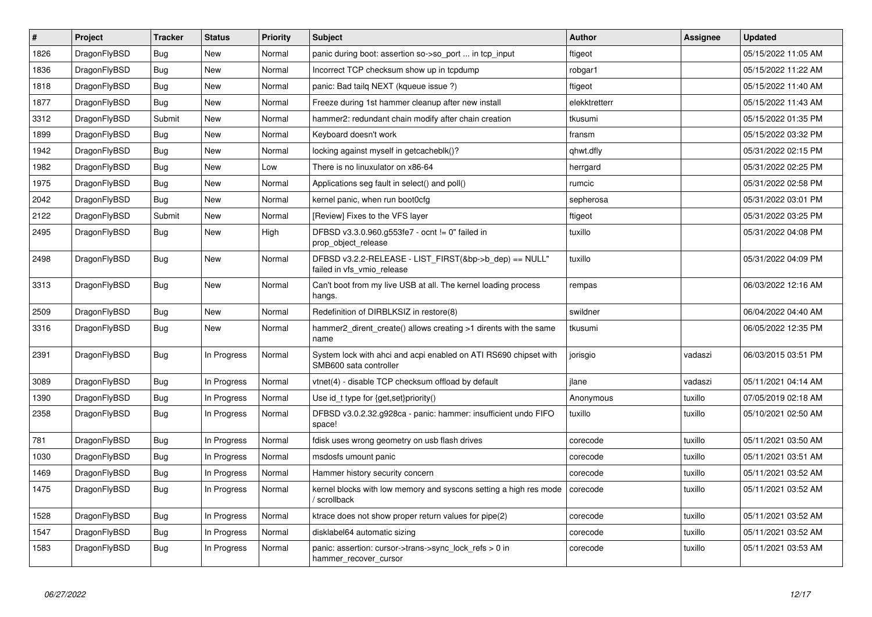| $\vert$ # | <b>Project</b> | <b>Tracker</b> | <b>Status</b> | <b>Priority</b> | <b>Subject</b>                                                                             | Author        | Assignee | <b>Updated</b>      |
|-----------|----------------|----------------|---------------|-----------------|--------------------------------------------------------------------------------------------|---------------|----------|---------------------|
| 1826      | DragonFlyBSD   | <b>Bug</b>     | <b>New</b>    | Normal          | panic during boot: assertion so->so port  in tcp input                                     | ftigeot       |          | 05/15/2022 11:05 AM |
| 1836      | DragonFlyBSD   | Bug            | <b>New</b>    | Normal          | Incorrect TCP checksum show up in tcpdump                                                  | robgar1       |          | 05/15/2022 11:22 AM |
| 1818      | DragonFlyBSD   | <b>Bug</b>     | <b>New</b>    | Normal          | panic: Bad tailq NEXT (kqueue issue ?)                                                     | ftigeot       |          | 05/15/2022 11:40 AM |
| 1877      | DragonFlyBSD   | Bug            | New           | Normal          | Freeze during 1st hammer cleanup after new install                                         | elekktretterr |          | 05/15/2022 11:43 AM |
| 3312      | DragonFlyBSD   | Submit         | <b>New</b>    | Normal          | hammer2: redundant chain modify after chain creation                                       | tkusumi       |          | 05/15/2022 01:35 PM |
| 1899      | DragonFlyBSD   | Bug            | <b>New</b>    | Normal          | Keyboard doesn't work                                                                      | fransm        |          | 05/15/2022 03:32 PM |
| 1942      | DragonFlyBSD   | <b>Bug</b>     | <b>New</b>    | Normal          | locking against myself in getcacheblk()?                                                   | qhwt.dfly     |          | 05/31/2022 02:15 PM |
| 1982      | DragonFlyBSD   | Bug            | New           | Low             | There is no linuxulator on x86-64                                                          | herrgard      |          | 05/31/2022 02:25 PM |
| 1975      | DragonFlyBSD   | <b>Bug</b>     | New           | Normal          | Applications seg fault in select() and poll()                                              | rumcic        |          | 05/31/2022 02:58 PM |
| 2042      | DragonFlyBSD   | <b>Bug</b>     | <b>New</b>    | Normal          | kernel panic, when run boot0cfg                                                            | sepherosa     |          | 05/31/2022 03:01 PM |
| 2122      | DragonFlyBSD   | Submit         | <b>New</b>    | Normal          | [Review] Fixes to the VFS layer                                                            | ftigeot       |          | 05/31/2022 03:25 PM |
| 2495      | DragonFlyBSD   | <b>Bug</b>     | <b>New</b>    | High            | DFBSD v3.3.0.960.g553fe7 - ocnt != 0" failed in<br>prop object release                     | tuxillo       |          | 05/31/2022 04:08 PM |
| 2498      | DragonFlyBSD   | <b>Bug</b>     | New           | Normal          | DFBSD v3.2.2-RELEASE - LIST_FIRST(&bp->b_dep) == NULL"<br>failed in vfs_vmio_release       | tuxillo       |          | 05/31/2022 04:09 PM |
| 3313      | DragonFlyBSD   | Bug            | New           | Normal          | Can't boot from my live USB at all. The kernel loading process<br>hangs.                   | rempas        |          | 06/03/2022 12:16 AM |
| 2509      | DragonFlyBSD   | <b>Bug</b>     | New           | Normal          | Redefinition of DIRBLKSIZ in restore(8)                                                    | swildner      |          | 06/04/2022 04:40 AM |
| 3316      | DragonFlyBSD   | <b>Bug</b>     | New           | Normal          | hammer2_dirent_create() allows creating >1 dirents with the same<br>name                   | tkusumi       |          | 06/05/2022 12:35 PM |
| 2391      | DragonFlyBSD   | Bug            | In Progress   | Normal          | System lock with ahci and acpi enabled on ATI RS690 chipset with<br>SMB600 sata controller | jorisgio      | vadaszi  | 06/03/2015 03:51 PM |
| 3089      | DragonFlyBSD   | <b>Bug</b>     | In Progress   | Normal          | vtnet(4) - disable TCP checksum offload by default                                         | jlane         | vadaszi  | 05/11/2021 04:14 AM |
| 1390      | DragonFlyBSD   | Bug            | In Progress   | Normal          | Use id t type for $\{get, set\}$ priority $()$                                             | Anonymous     | tuxillo  | 07/05/2019 02:18 AM |
| 2358      | DragonFlyBSD   | Bug            | In Progress   | Normal          | DFBSD v3.0.2.32.g928ca - panic: hammer: insufficient undo FIFO<br>space!                   | tuxillo       | tuxillo  | 05/10/2021 02:50 AM |
| 781       | DragonFlyBSD   | <b>Bug</b>     | In Progress   | Normal          | fdisk uses wrong geometry on usb flash drives                                              | corecode      | tuxillo  | 05/11/2021 03:50 AM |
| 1030      | DragonFlyBSD   | Bug            | In Progress   | Normal          | msdosfs umount panic                                                                       | corecode      | tuxillo  | 05/11/2021 03:51 AM |
| 1469      | DragonFlyBSD   | Bug            | In Progress   | Normal          | Hammer history security concern                                                            | corecode      | tuxillo  | 05/11/2021 03:52 AM |
| 1475      | DragonFlyBSD   | <b>Bug</b>     | In Progress   | Normal          | kernel blocks with low memory and syscons setting a high res mode<br>/ scrollback          | corecode      | tuxillo  | 05/11/2021 03:52 AM |
| 1528      | DragonFlyBSD   | <b>Bug</b>     | In Progress   | Normal          | ktrace does not show proper return values for pipe(2)                                      | corecode      | tuxillo  | 05/11/2021 03:52 AM |
| 1547      | DragonFlyBSD   | <b>Bug</b>     | In Progress   | Normal          | disklabel64 automatic sizing                                                               | corecode      | tuxillo  | 05/11/2021 03:52 AM |
| 1583      | DragonFlyBSD   | <b>Bug</b>     | In Progress   | Normal          | panic: assertion: cursor->trans->sync_lock_refs > 0 in<br>hammer_recover_cursor            | corecode      | tuxillo  | 05/11/2021 03:53 AM |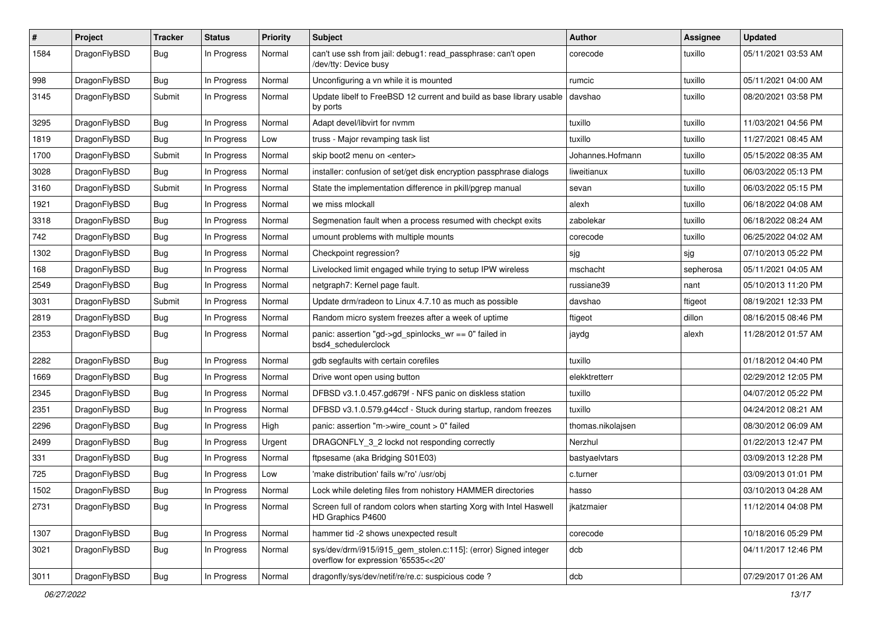| $\pmb{\#}$ | Project      | <b>Tracker</b> | <b>Status</b> | <b>Priority</b> | Subject                                                                                                | <b>Author</b>     | Assignee  | <b>Updated</b>      |
|------------|--------------|----------------|---------------|-----------------|--------------------------------------------------------------------------------------------------------|-------------------|-----------|---------------------|
| 1584       | DragonFlyBSD | Bug            | In Progress   | Normal          | can't use ssh from jail: debug1: read_passphrase: can't open<br>/dev/tty: Device busy                  | corecode          | tuxillo   | 05/11/2021 03:53 AM |
| 998        | DragonFlyBSD | <b>Bug</b>     | In Progress   | Normal          | Unconfiguring a vn while it is mounted                                                                 | rumcic            | tuxillo   | 05/11/2021 04:00 AM |
| 3145       | DragonFlyBSD | Submit         | In Progress   | Normal          | Update libelf to FreeBSD 12 current and build as base library usable<br>by ports                       | davshao           | tuxillo   | 08/20/2021 03:58 PM |
| 3295       | DragonFlyBSD | <b>Bug</b>     | In Progress   | Normal          | Adapt devel/libvirt for nvmm                                                                           | tuxillo           | tuxillo   | 11/03/2021 04:56 PM |
| 1819       | DragonFlyBSD | <b>Bug</b>     | In Progress   | Low             | truss - Major revamping task list                                                                      | tuxillo           | tuxillo   | 11/27/2021 08:45 AM |
| 1700       | DragonFlyBSD | Submit         | In Progress   | Normal          | skip boot2 menu on <enter></enter>                                                                     | Johannes.Hofmann  | tuxillo   | 05/15/2022 08:35 AM |
| 3028       | DragonFlyBSD | <b>Bug</b>     | In Progress   | Normal          | installer: confusion of set/get disk encryption passphrase dialogs                                     | liweitianux       | tuxillo   | 06/03/2022 05:13 PM |
| 3160       | DragonFlyBSD | Submit         | In Progress   | Normal          | State the implementation difference in pkill/pgrep manual                                              | sevan             | tuxillo   | 06/03/2022 05:15 PM |
| 1921       | DragonFlyBSD | Bug            | In Progress   | Normal          | we miss mlockall                                                                                       | alexh             | tuxillo   | 06/18/2022 04:08 AM |
| 3318       | DragonFlyBSD | Bug            | In Progress   | Normal          | Segmenation fault when a process resumed with checkpt exits                                            | zabolekar         | tuxillo   | 06/18/2022 08:24 AM |
| 742        | DragonFlyBSD | <b>Bug</b>     | In Progress   | Normal          | umount problems with multiple mounts                                                                   | corecode          | tuxillo   | 06/25/2022 04:02 AM |
| 1302       | DragonFlyBSD | <b>Bug</b>     | In Progress   | Normal          | Checkpoint regression?                                                                                 | sjg               | sjg       | 07/10/2013 05:22 PM |
| 168        | DragonFlyBSD | Bug            | In Progress   | Normal          | Livelocked limit engaged while trying to setup IPW wireless                                            | mschacht          | sepherosa | 05/11/2021 04:05 AM |
| 2549       | DragonFlyBSD | <b>Bug</b>     | In Progress   | Normal          | netgraph7: Kernel page fault.                                                                          | russiane39        | nant      | 05/10/2013 11:20 PM |
| 3031       | DragonFlyBSD | Submit         | In Progress   | Normal          | Update drm/radeon to Linux 4.7.10 as much as possible                                                  | davshao           | ftigeot   | 08/19/2021 12:33 PM |
| 2819       | DragonFlyBSD | Bug            | In Progress   | Normal          | Random micro system freezes after a week of uptime                                                     | ftigeot           | dillon    | 08/16/2015 08:46 PM |
| 2353       | DragonFlyBSD | Bug            | In Progress   | Normal          | panic: assertion "gd->gd spinlocks $wr == 0$ " failed in<br>bsd4 schedulerclock                        | jaydg             | alexh     | 11/28/2012 01:57 AM |
| 2282       | DragonFlyBSD | <b>Bug</b>     | In Progress   | Normal          | gdb segfaults with certain corefiles                                                                   | tuxillo           |           | 01/18/2012 04:40 PM |
| 1669       | DragonFlyBSD | <b>Bug</b>     | In Progress   | Normal          | Drive wont open using button                                                                           | elekktretterr     |           | 02/29/2012 12:05 PM |
| 2345       | DragonFlyBSD | Bug            | In Progress   | Normal          | DFBSD v3.1.0.457.gd679f - NFS panic on diskless station                                                | tuxillo           |           | 04/07/2012 05:22 PM |
| 2351       | DragonFlyBSD | Bug            | In Progress   | Normal          | DFBSD v3.1.0.579.g44ccf - Stuck during startup, random freezes                                         | tuxillo           |           | 04/24/2012 08:21 AM |
| 2296       | DragonFlyBSD | Bug            | In Progress   | High            | panic: assertion "m->wire_count > 0" failed                                                            | thomas.nikolajsen |           | 08/30/2012 06:09 AM |
| 2499       | DragonFlyBSD | <b>Bug</b>     | In Progress   | Urgent          | DRAGONFLY 3 2 lockd not responding correctly                                                           | Nerzhul           |           | 01/22/2013 12:47 PM |
| 331        | DragonFlyBSD | <b>Bug</b>     | In Progress   | Normal          | ftpsesame (aka Bridging S01E03)                                                                        | bastyaelvtars     |           | 03/09/2013 12:28 PM |
| 725        | DragonFlyBSD | <b>Bug</b>     | In Progress   | Low             | 'make distribution' fails w/'ro' /usr/obj                                                              | c.turner          |           | 03/09/2013 01:01 PM |
| 1502       | DragonFlyBSD | Bug            | In Progress   | Normal          | Lock while deleting files from nohistory HAMMER directories                                            | hasso             |           | 03/10/2013 04:28 AM |
| 2731       | DragonFlyBSD | Bug            | In Progress   | Normal          | Screen full of random colors when starting Xorg with Intel Haswell<br>HD Graphics P4600                | ikatzmaier        |           | 11/12/2014 04:08 PM |
| 1307       | DragonFlyBSD | <b>Bug</b>     | In Progress   | Normal          | hammer tid -2 shows unexpected result                                                                  | corecode          |           | 10/18/2016 05:29 PM |
| 3021       | DragonFlyBSD | Bug            | In Progress   | Normal          | sys/dev/drm/i915/i915_gem_stolen.c:115]: (error) Signed integer<br>overflow for expression '65535<<20' | dcb               |           | 04/11/2017 12:46 PM |
| 3011       | DragonFlyBSD | Bug            | In Progress   | Normal          | dragonfly/sys/dev/netif/re/re.c: suspicious code?                                                      | dcb               |           | 07/29/2017 01:26 AM |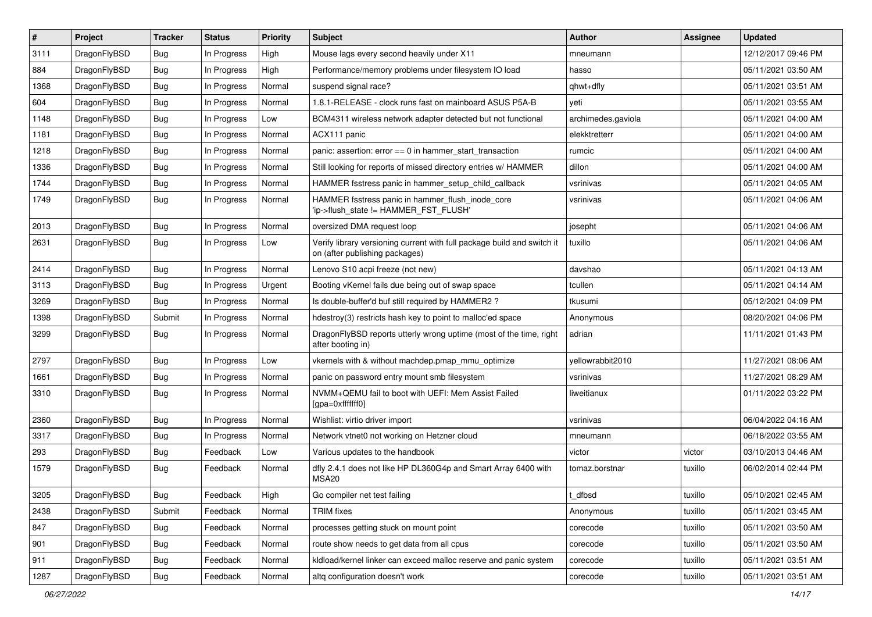| $\sharp$ | Project      | <b>Tracker</b> | <b>Status</b> | Priority | Subject                                                                                                   | <b>Author</b>      | Assignee | <b>Updated</b>      |
|----------|--------------|----------------|---------------|----------|-----------------------------------------------------------------------------------------------------------|--------------------|----------|---------------------|
| 3111     | DragonFlyBSD | Bug            | In Progress   | High     | Mouse lags every second heavily under X11                                                                 | mneumann           |          | 12/12/2017 09:46 PM |
| 884      | DragonFlyBSD | Bug            | In Progress   | High     | Performance/memory problems under filesystem IO load                                                      | hasso              |          | 05/11/2021 03:50 AM |
| 1368     | DragonFlyBSD | <b>Bug</b>     | In Progress   | Normal   | suspend signal race?                                                                                      | qhwt+dfly          |          | 05/11/2021 03:51 AM |
| 604      | DragonFlyBSD | <b>Bug</b>     | In Progress   | Normal   | 1.8.1-RELEASE - clock runs fast on mainboard ASUS P5A-B                                                   | yeti               |          | 05/11/2021 03:55 AM |
| 1148     | DragonFlyBSD | Bug            | In Progress   | Low      | BCM4311 wireless network adapter detected but not functional                                              | archimedes.gaviola |          | 05/11/2021 04:00 AM |
| 1181     | DragonFlyBSD | <b>Bug</b>     | In Progress   | Normal   | ACX111 panic                                                                                              | elekktretterr      |          | 05/11/2021 04:00 AM |
| 1218     | DragonFlyBSD | <b>Bug</b>     | In Progress   | Normal   | panic: assertion: $error == 0$ in hammer start transaction                                                | rumcic             |          | 05/11/2021 04:00 AM |
| 1336     | DragonFlyBSD | <b>Bug</b>     | In Progress   | Normal   | Still looking for reports of missed directory entries w/ HAMMER                                           | dillon             |          | 05/11/2021 04:00 AM |
| 1744     | DragonFlyBSD | <b>Bug</b>     | In Progress   | Normal   | HAMMER fsstress panic in hammer_setup_child_callback                                                      | vsrinivas          |          | 05/11/2021 04:05 AM |
| 1749     | DragonFlyBSD | Bug            | In Progress   | Normal   | HAMMER fsstress panic in hammer_flush_inode_core<br>'ip->flush_state != HAMMER_FST_FLUSH'                 | vsrinivas          |          | 05/11/2021 04:06 AM |
| 2013     | DragonFlyBSD | Bug            | In Progress   | Normal   | oversized DMA request loop                                                                                | josepht            |          | 05/11/2021 04:06 AM |
| 2631     | DragonFlyBSD | Bug            | In Progress   | Low      | Verify library versioning current with full package build and switch it<br>on (after publishing packages) | tuxillo            |          | 05/11/2021 04:06 AM |
| 2414     | DragonFlyBSD | Bug            | In Progress   | Normal   | Lenovo S10 acpi freeze (not new)                                                                          | davshao            |          | 05/11/2021 04:13 AM |
| 3113     | DragonFlyBSD | <b>Bug</b>     | In Progress   | Urgent   | Booting vKernel fails due being out of swap space                                                         | tcullen            |          | 05/11/2021 04:14 AM |
| 3269     | DragonFlyBSD | Bug            | In Progress   | Normal   | Is double-buffer'd buf still required by HAMMER2?                                                         | tkusumi            |          | 05/12/2021 04:09 PM |
| 1398     | DragonFlyBSD | Submit         | In Progress   | Normal   | hdestroy(3) restricts hash key to point to malloc'ed space                                                | Anonymous          |          | 08/20/2021 04:06 PM |
| 3299     | DragonFlyBSD | <b>Bug</b>     | In Progress   | Normal   | DragonFlyBSD reports utterly wrong uptime (most of the time, right<br>after booting in)                   | adrian             |          | 11/11/2021 01:43 PM |
| 2797     | DragonFlyBSD | Bug            | In Progress   | Low      | vkernels with & without machdep.pmap_mmu_optimize                                                         | yellowrabbit2010   |          | 11/27/2021 08:06 AM |
| 1661     | DragonFlyBSD | <b>Bug</b>     | In Progress   | Normal   | panic on password entry mount smb filesystem                                                              | vsrinivas          |          | 11/27/2021 08:29 AM |
| 3310     | DragonFlyBSD | <b>Bug</b>     | In Progress   | Normal   | NVMM+QEMU fail to boot with UEFI: Mem Assist Failed<br>[gpa=0xfffffff0]                                   | liweitianux        |          | 01/11/2022 03:22 PM |
| 2360     | DragonFlyBSD | <b>Bug</b>     | In Progress   | Normal   | Wishlist: virtio driver import                                                                            | vsrinivas          |          | 06/04/2022 04:16 AM |
| 3317     | DragonFlyBSD | <b>Bug</b>     | In Progress   | Normal   | Network vtnet0 not working on Hetzner cloud                                                               | mneumann           |          | 06/18/2022 03:55 AM |
| 293      | DragonFlyBSD | <b>Bug</b>     | Feedback      | Low      | Various updates to the handbook                                                                           | victor             | victor   | 03/10/2013 04:46 AM |
| 1579     | DragonFlyBSD | <b>Bug</b>     | Feedback      | Normal   | dfly 2.4.1 does not like HP DL360G4p and Smart Array 6400 with<br>MSA20                                   | tomaz.borstnar     | tuxillo  | 06/02/2014 02:44 PM |
| 3205     | DragonFlyBSD | <b>Bug</b>     | Feedback      | High     | Go compiler net test failing                                                                              | t_dfbsd            | tuxillo  | 05/10/2021 02:45 AM |
| 2438     | DragonFlyBSD | Submit         | Feedback      | Normal   | <b>TRIM</b> fixes                                                                                         | Anonymous          | tuxillo  | 05/11/2021 03:45 AM |
| 847      | DragonFlyBSD | <b>Bug</b>     | Feedback      | Normal   | processes getting stuck on mount point                                                                    | corecode           | tuxillo  | 05/11/2021 03:50 AM |
| 901      | DragonFlyBSD | <b>Bug</b>     | Feedback      | Normal   | route show needs to get data from all cpus                                                                | corecode           | tuxillo  | 05/11/2021 03:50 AM |
| 911      | DragonFlyBSD | <b>Bug</b>     | Feedback      | Normal   | kldload/kernel linker can exceed malloc reserve and panic system                                          | corecode           | tuxillo  | 05/11/2021 03:51 AM |
| 1287     | DragonFlyBSD | <b>Bug</b>     | Feedback      | Normal   | altq configuration doesn't work                                                                           | corecode           | tuxillo  | 05/11/2021 03:51 AM |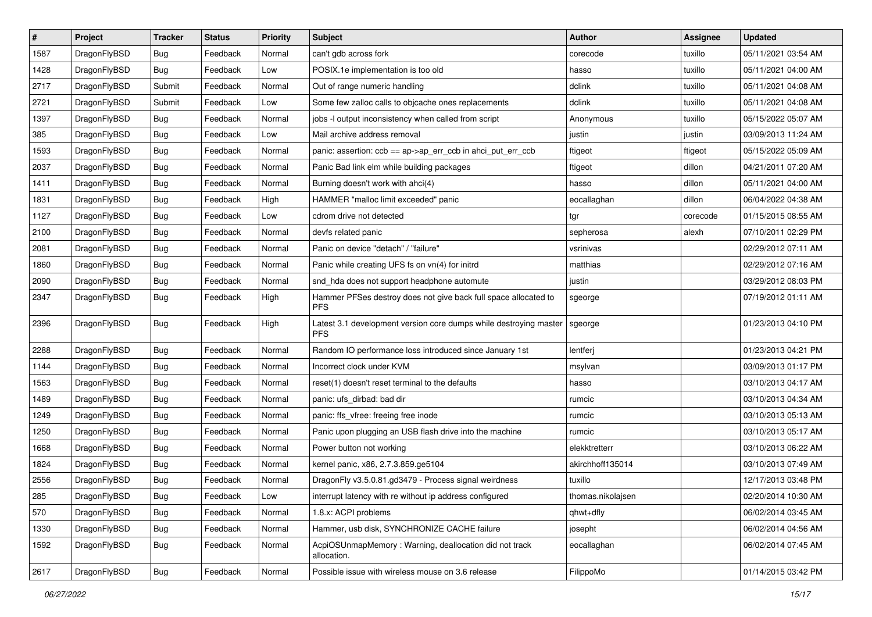| $\sharp$ | Project      | <b>Tracker</b> | <b>Status</b> | <b>Priority</b> | <b>Subject</b>                                                                  | Author            | Assignee | <b>Updated</b>      |
|----------|--------------|----------------|---------------|-----------------|---------------------------------------------------------------------------------|-------------------|----------|---------------------|
| 1587     | DragonFlyBSD | <b>Bug</b>     | Feedback      | Normal          | can't gdb across fork                                                           | corecode          | tuxillo  | 05/11/2021 03:54 AM |
| 1428     | DragonFlyBSD | <b>Bug</b>     | Feedback      | Low             | POSIX.1e implementation is too old                                              | hasso             | tuxillo  | 05/11/2021 04:00 AM |
| 2717     | DragonFlyBSD | Submit         | Feedback      | Normal          | Out of range numeric handling                                                   | dclink            | tuxillo  | 05/11/2021 04:08 AM |
| 2721     | DragonFlyBSD | Submit         | Feedback      | Low             | Some few zalloc calls to objcache ones replacements                             | dclink            | tuxillo  | 05/11/2021 04:08 AM |
| 1397     | DragonFlyBSD | <b>Bug</b>     | Feedback      | Normal          | jobs -I output inconsistency when called from script                            | Anonymous         | tuxillo  | 05/15/2022 05:07 AM |
| 385      | DragonFlyBSD | <b>Bug</b>     | Feedback      | Low             | Mail archive address removal                                                    | justin            | justin   | 03/09/2013 11:24 AM |
| 1593     | DragonFlyBSD | <b>Bug</b>     | Feedback      | Normal          | panic: assertion: ccb == ap->ap_err_ccb in ahci_put_err_ccb                     | ftigeot           | ftigeot  | 05/15/2022 05:09 AM |
| 2037     | DragonFlyBSD | <b>Bug</b>     | Feedback      | Normal          | Panic Bad link elm while building packages                                      | ftigeot           | dillon   | 04/21/2011 07:20 AM |
| 1411     | DragonFlyBSD | <b>Bug</b>     | Feedback      | Normal          | Burning doesn't work with ahci(4)                                               | hasso             | dillon   | 05/11/2021 04:00 AM |
| 1831     | DragonFlyBSD | <b>Bug</b>     | Feedback      | High            | HAMMER "malloc limit exceeded" panic                                            | eocallaghan       | dillon   | 06/04/2022 04:38 AM |
| 1127     | DragonFlyBSD | <b>Bug</b>     | Feedback      | Low             | cdrom drive not detected                                                        | tgr               | corecode | 01/15/2015 08:55 AM |
| 2100     | DragonFlyBSD | <b>Bug</b>     | Feedback      | Normal          | devfs related panic                                                             | sepherosa         | alexh    | 07/10/2011 02:29 PM |
| 2081     | DragonFlyBSD | <b>Bug</b>     | Feedback      | Normal          | Panic on device "detach" / "failure"                                            | vsrinivas         |          | 02/29/2012 07:11 AM |
| 1860     | DragonFlyBSD | <b>Bug</b>     | Feedback      | Normal          | Panic while creating UFS fs on vn(4) for initrd                                 | matthias          |          | 02/29/2012 07:16 AM |
| 2090     | DragonFlyBSD | <b>Bug</b>     | Feedback      | Normal          | snd_hda does not support headphone automute                                     | justin            |          | 03/29/2012 08:03 PM |
| 2347     | DragonFlyBSD | <b>Bug</b>     | Feedback      | High            | Hammer PFSes destroy does not give back full space allocated to<br><b>PFS</b>   | sgeorge           |          | 07/19/2012 01:11 AM |
| 2396     | DragonFlyBSD | <b>Bug</b>     | Feedback      | High            | Latest 3.1 development version core dumps while destroying master<br><b>PFS</b> | sgeorge           |          | 01/23/2013 04:10 PM |
| 2288     | DragonFlyBSD | <b>Bug</b>     | Feedback      | Normal          | Random IO performance loss introduced since January 1st                         | lentferj          |          | 01/23/2013 04:21 PM |
| 1144     | DragonFlyBSD | Bug            | Feedback      | Normal          | Incorrect clock under KVM                                                       | msylvan           |          | 03/09/2013 01:17 PM |
| 1563     | DragonFlyBSD | <b>Bug</b>     | Feedback      | Normal          | reset(1) doesn't reset terminal to the defaults                                 | hasso             |          | 03/10/2013 04:17 AM |
| 1489     | DragonFlyBSD | <b>Bug</b>     | Feedback      | Normal          | panic: ufs_dirbad: bad dir                                                      | rumcic            |          | 03/10/2013 04:34 AM |
| 1249     | DragonFlyBSD | <b>Bug</b>     | Feedback      | Normal          | panic: ffs_vfree: freeing free inode                                            | rumcic            |          | 03/10/2013 05:13 AM |
| 1250     | DragonFlyBSD | <b>Bug</b>     | Feedback      | Normal          | Panic upon plugging an USB flash drive into the machine                         | rumcic            |          | 03/10/2013 05:17 AM |
| 1668     | DragonFlyBSD | <b>Bug</b>     | Feedback      | Normal          | Power button not working                                                        | elekktretterr     |          | 03/10/2013 06:22 AM |
| 1824     | DragonFlyBSD | <b>Bug</b>     | Feedback      | Normal          | kernel panic, x86, 2.7.3.859.ge5104                                             | akirchhoff135014  |          | 03/10/2013 07:49 AM |
| 2556     | DragonFlyBSD | <b>Bug</b>     | Feedback      | Normal          | DragonFly v3.5.0.81.gd3479 - Process signal weirdness                           | tuxillo           |          | 12/17/2013 03:48 PM |
| 285      | DragonFlyBSD | <b>Bug</b>     | Feedback      | Low             | interrupt latency with re without ip address configured                         | thomas.nikolajsen |          | 02/20/2014 10:30 AM |
| 570      | DragonFlyBSD | <b>Bug</b>     | Feedback      | Normal          | 1.8.x: ACPI problems                                                            | qhwt+dfly         |          | 06/02/2014 03:45 AM |
| 1330     | DragonFlyBSD | <b>Bug</b>     | Feedback      | Normal          | Hammer, usb disk, SYNCHRONIZE CACHE failure                                     | josepht           |          | 06/02/2014 04:56 AM |
| 1592     | DragonFlyBSD | <b>Bug</b>     | Feedback      | Normal          | AcpiOSUnmapMemory: Warning, deallocation did not track<br>allocation.           | eocallaghan       |          | 06/02/2014 07:45 AM |
| 2617     | DragonFlyBSD | <b>Bug</b>     | Feedback      | Normal          | Possible issue with wireless mouse on 3.6 release                               | FilippoMo         |          | 01/14/2015 03:42 PM |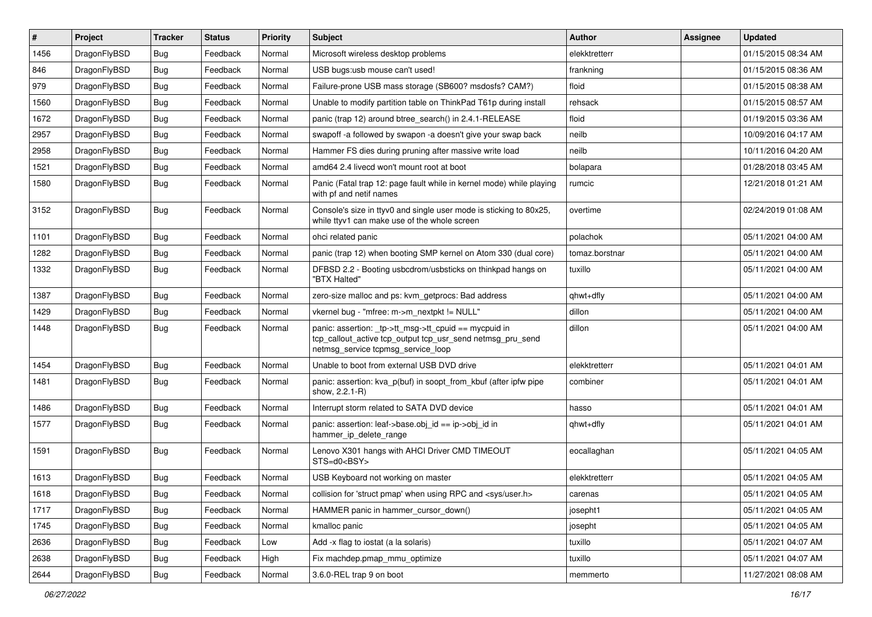| #    | Project      | <b>Tracker</b> | <b>Status</b> | <b>Priority</b> | Subject                                                                                                                                                   | <b>Author</b>  | Assignee | <b>Updated</b>      |
|------|--------------|----------------|---------------|-----------------|-----------------------------------------------------------------------------------------------------------------------------------------------------------|----------------|----------|---------------------|
| 1456 | DragonFlyBSD | <b>Bug</b>     | Feedback      | Normal          | Microsoft wireless desktop problems                                                                                                                       | elekktretterr  |          | 01/15/2015 08:34 AM |
| 846  | DragonFlyBSD | <b>Bug</b>     | Feedback      | Normal          | USB bugs:usb mouse can't used!                                                                                                                            | frankning      |          | 01/15/2015 08:36 AM |
| 979  | DragonFlyBSD | <b>Bug</b>     | Feedback      | Normal          | Failure-prone USB mass storage (SB600? msdosfs? CAM?)                                                                                                     | floid          |          | 01/15/2015 08:38 AM |
| 1560 | DragonFlyBSD | <b>Bug</b>     | Feedback      | Normal          | Unable to modify partition table on ThinkPad T61p during install                                                                                          | rehsack        |          | 01/15/2015 08:57 AM |
| 1672 | DragonFlyBSD | <b>Bug</b>     | Feedback      | Normal          | panic (trap 12) around btree_search() in 2.4.1-RELEASE                                                                                                    | floid          |          | 01/19/2015 03:36 AM |
| 2957 | DragonFlyBSD | <b>Bug</b>     | Feedback      | Normal          | swapoff -a followed by swapon -a doesn't give your swap back                                                                                              | neilb          |          | 10/09/2016 04:17 AM |
| 2958 | DragonFlyBSD | <b>Bug</b>     | Feedback      | Normal          | Hammer FS dies during pruning after massive write load                                                                                                    | neilb          |          | 10/11/2016 04:20 AM |
| 1521 | DragonFlyBSD | <b>Bug</b>     | Feedback      | Normal          | amd64 2.4 livecd won't mount root at boot                                                                                                                 | bolapara       |          | 01/28/2018 03:45 AM |
| 1580 | DragonFlyBSD | <b>Bug</b>     | Feedback      | Normal          | Panic (Fatal trap 12: page fault while in kernel mode) while playing<br>with pf and netif names                                                           | rumcic         |          | 12/21/2018 01:21 AM |
| 3152 | DragonFlyBSD | Bug            | Feedback      | Normal          | Console's size in ttyv0 and single user mode is sticking to 80x25,<br>while ttyv1 can make use of the whole screen                                        | overtime       |          | 02/24/2019 01:08 AM |
| 1101 | DragonFlyBSD | Bug            | Feedback      | Normal          | ohci related panic                                                                                                                                        | polachok       |          | 05/11/2021 04:00 AM |
| 1282 | DragonFlyBSD | Bug            | Feedback      | Normal          | panic (trap 12) when booting SMP kernel on Atom 330 (dual core)                                                                                           | tomaz.borstnar |          | 05/11/2021 04:00 AM |
| 1332 | DragonFlyBSD | Bug            | Feedback      | Normal          | DFBSD 2.2 - Booting usbcdrom/usbsticks on thinkpad hangs on<br>"BTX Halted"                                                                               | tuxillo        |          | 05/11/2021 04:00 AM |
| 1387 | DragonFlyBSD | Bug            | Feedback      | Normal          | zero-size malloc and ps: kvm_getprocs: Bad address                                                                                                        | qhwt+dfly      |          | 05/11/2021 04:00 AM |
| 1429 | DragonFlyBSD | Bug            | Feedback      | Normal          | vkernel bug - "mfree: m->m_nextpkt != NULL"                                                                                                               | dillon         |          | 05/11/2021 04:00 AM |
| 1448 | DragonFlyBSD | Bug            | Feedback      | Normal          | panic: assertion: _tp->tt_msg->tt_cpuid == mycpuid in<br>tcp_callout_active tcp_output tcp_usr_send netmsg_pru_send<br>netmsg_service tcpmsg_service_loop | dillon         |          | 05/11/2021 04:00 AM |
| 1454 | DragonFlyBSD | Bug            | Feedback      | Normal          | Unable to boot from external USB DVD drive                                                                                                                | elekktretterr  |          | 05/11/2021 04:01 AM |
| 1481 | DragonFlyBSD | Bug            | Feedback      | Normal          | panic: assertion: kva_p(buf) in soopt_from_kbuf (after ipfw pipe<br>show, 2.2.1-R)                                                                        | combiner       |          | 05/11/2021 04:01 AM |
| 1486 | DragonFlyBSD | Bug            | Feedback      | Normal          | Interrupt storm related to SATA DVD device                                                                                                                | hasso          |          | 05/11/2021 04:01 AM |
| 1577 | DragonFlyBSD | Bug            | Feedback      | Normal          | panic: assertion: leaf->base.obj_id == ip->obj_id in<br>hammer_ip_delete_range                                                                            | ghwt+dfly      |          | 05/11/2021 04:01 AM |
| 1591 | DragonFlyBSD | Bug            | Feedback      | Normal          | Lenovo X301 hangs with AHCI Driver CMD TIMEOUT<br>STS=d0 <bsy></bsy>                                                                                      | eocallaghan    |          | 05/11/2021 04:05 AM |
| 1613 | DragonFlyBSD | Bug            | Feedback      | Normal          | USB Keyboard not working on master                                                                                                                        | elekktretterr  |          | 05/11/2021 04:05 AM |
| 1618 | DragonFlyBSD | <b>Bug</b>     | Feedback      | Normal          | collision for 'struct pmap' when using RPC and <sys user.h=""></sys>                                                                                      | carenas        |          | 05/11/2021 04:05 AM |
| 1717 | DragonFlyBSD | Bug            | Feedback      | Normal          | HAMMER panic in hammer cursor down()                                                                                                                      | josepht1       |          | 05/11/2021 04:05 AM |
| 1745 | DragonFlyBSD | <b>Bug</b>     | Feedback      | Normal          | kmalloc panic                                                                                                                                             | josepht        |          | 05/11/2021 04:05 AM |
| 2636 | DragonFlyBSD | Bug            | Feedback      | Low             | Add -x flag to iostat (a la solaris)                                                                                                                      | tuxillo        |          | 05/11/2021 04:07 AM |
| 2638 | DragonFlyBSD | <b>Bug</b>     | Feedback      | High            | Fix machdep.pmap mmu optimize                                                                                                                             | tuxillo        |          | 05/11/2021 04:07 AM |
| 2644 | DragonFlyBSD | Bug            | Feedback      | Normal          | 3.6.0-REL trap 9 on boot                                                                                                                                  | memmerto       |          | 11/27/2021 08:08 AM |